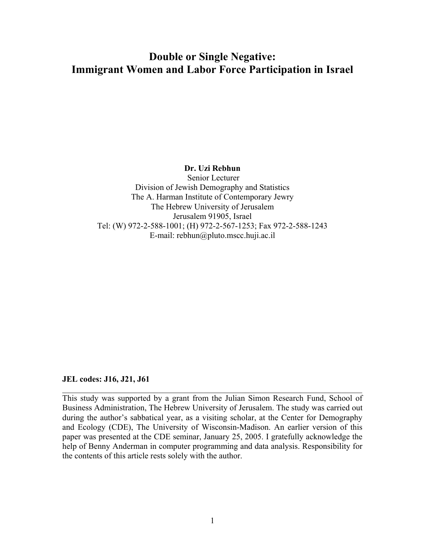# **Double or Single Negative: Immigrant Women and Labor Force Participation in Israel**

## **Dr. Uzi Rebhun**

Senior Lecturer Division of Jewish Demography and Statistics The A. Harman Institute of Contemporary Jewry The Hebrew University of Jerusalem Jerusalem 91905, Israel Tel: (W) 972-2-588-1001; (H) 972-2-567-1253; Fax 972-2-588-1243 E-mail: rebhun@pluto.mscc.huji.ac.il

#### **JEL codes: J16, J21, J61**

This study was supported by a grant from the Julian Simon Research Fund, School of Business Administration, The Hebrew University of Jerusalem. The study was carried out during the author's sabbatical year, as a visiting scholar, at the Center for Demography and Ecology (CDE), The University of Wisconsin-Madison. An earlier version of this paper was presented at the CDE seminar, January 25, 2005. I gratefully acknowledge the help of Benny Anderman in computer programming and data analysis. Responsibility for the contents of this article rests solely with the author.

 $\_$  , and the contribution of the contribution of  $\mathcal{L}_\mathcal{A}$  , and the contribution of  $\mathcal{L}_\mathcal{A}$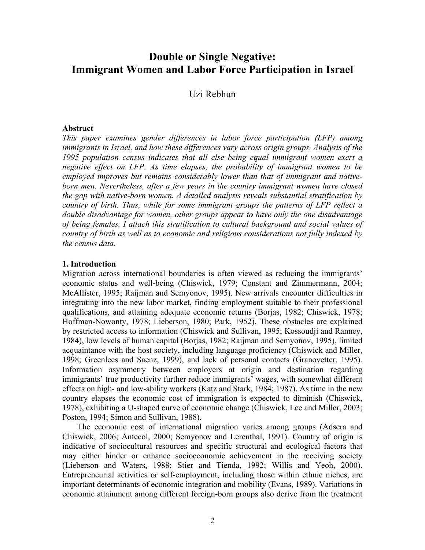## **Double or Single Negative: Immigrant Women and Labor Force Participation in Israel**

Uzi Rebhun

#### **Abstract**

*This paper examines gender differences in labor force participation (LFP) among immigrants in Israel, and how these differences vary across origin groups. Analysis of the 1995 population census indicates that all else being equal immigrant women exert a negative effect on LFP. As time elapses, the probability of immigrant women to be employed improves but remains considerably lower than that of immigrant and nativeborn men. Nevertheless, after a few years in the country immigrant women have closed the gap with native-born women. A detailed analysis reveals substantial stratification by country of birth. Thus, while for some immigrant groups the patterns of LFP reflect a double disadvantage for women, other groups appear to have only the one disadvantage of being females. I attach this stratification to cultural background and social values of country of birth as well as to economic and religious considerations not fully indexed by the census data.* 

#### **1. Introduction**

Migration across international boundaries is often viewed as reducing the immigrants' economic status and well-being (Chiswick, 1979; Constant and Zimmermann, 2004; McAllister, 1995; Raijman and Semyonov, 1995). New arrivals encounter difficulties in integrating into the new labor market, finding employment suitable to their professional qualifications, and attaining adequate economic returns (Borjas, 1982; Chiswick, 1978; Hoffman-Nowonty, 1978; Lieberson, 1980; Park, 1952). These obstacles are explained by restricted access to information (Chiswick and Sullivan, 1995; Kossoudji and Ranney, 1984), low levels of human capital (Borjas, 1982; Raijman and Semyonov, 1995), limited acquaintance with the host society, including language proficiency (Chiswick and Miller, 1998; Greenlees and Saenz, 1999), and lack of personal contacts (Granovetter, 1995). Information asymmetry between employers at origin and destination regarding immigrants' true productivity further reduce immigrants' wages, with somewhat different effects on high- and low-ability workers (Katz and Stark, 1984; 1987). As time in the new country elapses the economic cost of immigration is expected to diminish (Chiswick, 1978), exhibiting a U-shaped curve of economic change (Chiswick, Lee and Miller, 2003; Poston, 1994; Simon and Sullivan, 1988).

The economic cost of international migration varies among groups (Adsera and Chiswick, 2006; Antecol, 2000; Semyonov and Lerenthal, 1991). Country of origin is indicative of sociocultural resources and specific structural and ecological factors that may either hinder or enhance socioeconomic achievement in the receiving society (Lieberson and Waters, 1988; Stier and Tienda, 1992; Willis and Yeoh, 2000). Entrepreneurial activities or self-employment, including those within ethnic niches, are important determinants of economic integration and mobility (Evans, 1989). Variations in economic attainment among different foreign-born groups also derive from the treatment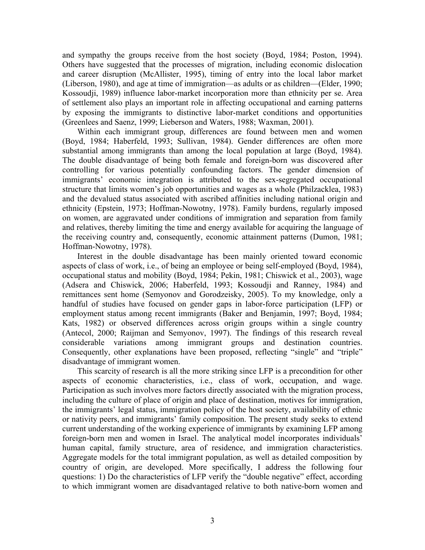and sympathy the groups receive from the host society (Boyd, 1984; Poston, 1994). Others have suggested that the processes of migration, including economic dislocation and career disruption (McAllister, 1995), timing of entry into the local labor market (Liberson, 1980), and age at time of immigration—as adults or as children—(Elder, 1990; Kossoudji, 1989) influence labor-market incorporation more than ethnicity per se. Area of settlement also plays an important role in affecting occupational and earning patterns by exposing the immigrants to distinctive labor-market conditions and opportunities (Greenlees and Saenz, 1999; Lieberson and Waters, 1988; Waxman, 2001).

Within each immigrant group, differences are found between men and women (Boyd, 1984; Haberfeld, 1993; Sullivan, 1984). Gender differences are often more substantial among immigrants than among the local population at large (Boyd, 1984). The double disadvantage of being both female and foreign-born was discovered after controlling for various potentially confounding factors. The gender dimension of immigrants' economic integration is attributed to the sex-segregated occupational structure that limits women's job opportunities and wages as a whole (Philzacklea, 1983) and the devalued status associated with ascribed affinities including national origin and ethnicity (Epstein, 1973; Hoffman-Nowotny, 1978). Family burdens, regularly imposed on women, are aggravated under conditions of immigration and separation from family and relatives, thereby limiting the time and energy available for acquiring the language of the receiving country and, consequently, economic attainment patterns (Dumon, 1981; Hoffman-Nowotny, 1978).

Interest in the double disadvantage has been mainly oriented toward economic aspects of class of work, i.e., of being an employee or being self-employed (Boyd, 1984), occupational status and mobility (Boyd, 1984; Pekin, 1981; Chiswick et al., 2003), wage (Adsera and Chiswick, 2006; Haberfeld, 1993; Kossoudji and Ranney, 1984) and remittances sent home (Semyonov and Gorodzeisky, 2005). To my knowledge, only a handful of studies have focused on gender gaps in labor-force participation (LFP) or employment status among recent immigrants (Baker and Benjamin, 1997; Boyd, 1984; Kats, 1982) or observed differences across origin groups within a single country (Antecol, 2000; Raijman and Semyonov, 1997). The findings of this research reveal considerable variations among immigrant groups and destination countries. Consequently, other explanations have been proposed, reflecting "single" and "triple" disadvantage of immigrant women.

This scarcity of research is all the more striking since LFP is a precondition for other aspects of economic characteristics, i.e., class of work, occupation, and wage. Participation as such involves more factors directly associated with the migration process, including the culture of place of origin and place of destination, motives for immigration, the immigrants' legal status, immigration policy of the host society, availability of ethnic or nativity peers, and immigrants' family composition. The present study seeks to extend current understanding of the working experience of immigrants by examining LFP among foreign-born men and women in Israel. The analytical model incorporates individuals' human capital, family structure, area of residence, and immigration characteristics. Aggregate models for the total immigrant population, as well as detailed composition by country of origin, are developed. More specifically, I address the following four questions: 1) Do the characteristics of LFP verify the "double negative" effect, according to which immigrant women are disadvantaged relative to both native-born women and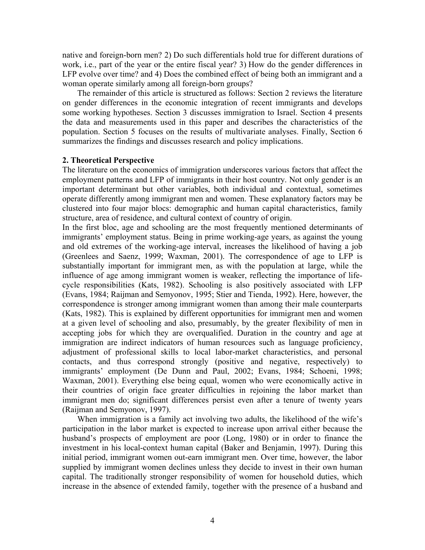native and foreign-born men? 2) Do such differentials hold true for different durations of work, i.e., part of the year or the entire fiscal year? 3) How do the gender differences in LFP evolve over time? and 4) Does the combined effect of being both an immigrant and a woman operate similarly among all foreign-born groups?

The remainder of this article is structured as follows: Section 2 reviews the literature on gender differences in the economic integration of recent immigrants and develops some working hypotheses. Section 3 discusses immigration to Israel. Section 4 presents the data and measurements used in this paper and describes the characteristics of the population. Section 5 focuses on the results of multivariate analyses. Finally, Section 6 summarizes the findings and discusses research and policy implications.

## **2. Theoretical Perspective**

The literature on the economics of immigration underscores various factors that affect the employment patterns and LFP of immigrants in their host country. Not only gender is an important determinant but other variables, both individual and contextual, sometimes operate differently among immigrant men and women. These explanatory factors may be clustered into four major blocs: demographic and human capital characteristics, family structure, area of residence, and cultural context of country of origin.

In the first bloc, age and schooling are the most frequently mentioned determinants of immigrants' employment status. Being in prime working-age years, as against the young and old extremes of the working-age interval, increases the likelihood of having a job (Greenlees and Saenz, 1999; Waxman, 2001). The correspondence of age to LFP is substantially important for immigrant men, as with the population at large, while the influence of age among immigrant women is weaker, reflecting the importance of lifecycle responsibilities (Kats, 1982). Schooling is also positively associated with LFP (Evans, 1984; Raijman and Semyonov, 1995; Stier and Tienda, 1992). Here, however, the correspondence is stronger among immigrant women than among their male counterparts (Kats, 1982). This is explained by different opportunities for immigrant men and women at a given level of schooling and also, presumably, by the greater flexibility of men in accepting jobs for which they are overqualified. Duration in the country and age at immigration are indirect indicators of human resources such as language proficiency, adjustment of professional skills to local labor-market characteristics, and personal contacts, and thus correspond strongly (positive and negative, respectively) to immigrants' employment (De Dunn and Paul, 2002; Evans, 1984; Schoeni, 1998; Waxman, 2001). Everything else being equal, women who were economically active in their countries of origin face greater difficulties in rejoining the labor market than immigrant men do; significant differences persist even after a tenure of twenty years (Raijman and Semyonov, 1997).

When immigration is a family act involving two adults, the likelihood of the wife's participation in the labor market is expected to increase upon arrival either because the husband's prospects of employment are poor (Long, 1980) or in order to finance the investment in his local-context human capital (Baker and Benjamin, 1997). During this initial period, immigrant women out-earn immigrant men. Over time, however, the labor supplied by immigrant women declines unless they decide to invest in their own human capital. The traditionally stronger responsibility of women for household duties, which increase in the absence of extended family, together with the presence of a husband and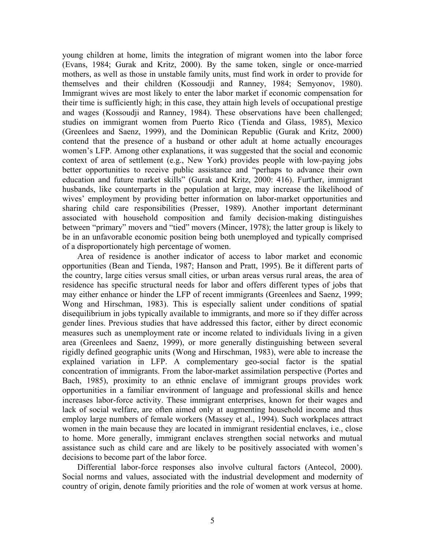young children at home, limits the integration of migrant women into the labor force (Evans, 1984; Gurak and Kritz, 2000). By the same token, single or once-married mothers, as well as those in unstable family units, must find work in order to provide for themselves and their children (Kossoudji and Ranney, 1984; Semyonov, 1980). Immigrant wives are most likely to enter the labor market if economic compensation for their time is sufficiently high; in this case, they attain high levels of occupational prestige and wages (Kossoudji and Ranney, 1984). These observations have been challenged; studies on immigrant women from Puerto Rico (Tienda and Glass, 1985), Mexico (Greenlees and Saenz, 1999), and the Dominican Republic (Gurak and Kritz, 2000) contend that the presence of a husband or other adult at home actually encourages women's LFP. Among other explanations, it was suggested that the social and economic context of area of settlement (e.g., New York) provides people with low-paying jobs better opportunities to receive public assistance and "perhaps to advance their own education and future market skills" (Gurak and Kritz, 2000: 416). Further, immigrant husbands, like counterparts in the population at large, may increase the likelihood of wives' employment by providing better information on labor-market opportunities and sharing child care responsibilities (Presser, 1989). Another important determinant associated with household composition and family decision-making distinguishes between "primary" movers and "tied" movers (Mincer, 1978); the latter group is likely to be in an unfavorable economic position being both unemployed and typically comprised of a disproportionately high percentage of women.

Area of residence is another indicator of access to labor market and economic opportunities (Bean and Tienda, 1987; Hanson and Pratt, 1995). Be it different parts of the country, large cities versus small cities, or urban areas versus rural areas, the area of residence has specific structural needs for labor and offers different types of jobs that may either enhance or hinder the LFP of recent immigrants (Greenlees and Saenz, 1999; Wong and Hirschman, 1983). This is especially salient under conditions of spatial disequilibrium in jobs typically available to immigrants, and more so if they differ across gender lines. Previous studies that have addressed this factor, either by direct economic measures such as unemployment rate or income related to individuals living in a given area (Greenlees and Saenz, 1999), or more generally distinguishing between several rigidly defined geographic units (Wong and Hirschman, 1983), were able to increase the explained variation in LFP. A complementary geo-social factor is the spatial concentration of immigrants. From the labor-market assimilation perspective (Portes and Bach, 1985), proximity to an ethnic enclave of immigrant groups provides work opportunities in a familiar environment of language and professional skills and hence increases labor-force activity. These immigrant enterprises, known for their wages and lack of social welfare, are often aimed only at augmenting household income and thus employ large numbers of female workers (Massey et al., 1994). Such workplaces attract women in the main because they are located in immigrant residential enclaves, i.e., close to home. More generally, immigrant enclaves strengthen social networks and mutual assistance such as child care and are likely to be positively associated with women's decisions to become part of the labor force.

Differential labor-force responses also involve cultural factors (Antecol, 2000). Social norms and values, associated with the industrial development and modernity of country of origin, denote family priorities and the role of women at work versus at home.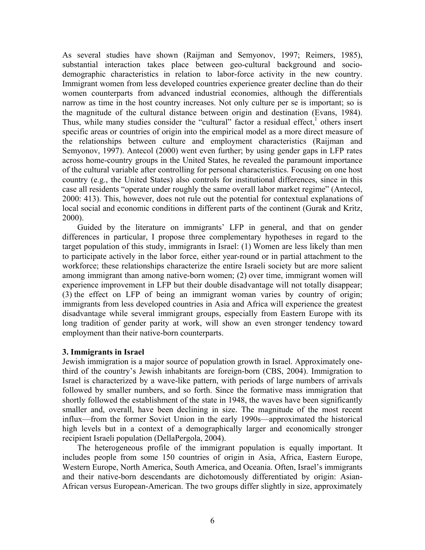As several studies have shown (Raijman and Semyonov, 1997; Reimers, 1985), substantial interaction takes place between geo-cultural background and sociodemographic characteristics in relation to labor-force activity in the new country. Immigrant women from less developed countries experience greater decline than do their women counterparts from advanced industrial economies, although the differentials narrow as time in the host country increases. Not only culture per se is important; so is the magnitude of the cultural distance between origin and destination (Evans, 1984). Thus, while many studies consider the "cultural" factor a residual effect, $1$  others insert specific areas or countries of origin into the empirical model as a more direct measure of the relationships between culture and employment characteristics (Raijman and Semyonov, 1997). Antecol (2000) went even further; by using gender gaps in LFP rates across home-country groups in the United States, he revealed the paramount importance of the cultural variable after controlling for personal characteristics. Focusing on one host country (e.g., the United States) also controls for institutional differences, since in this case all residents "operate under roughly the same overall labor market regime" (Antecol, 2000: 413). This, however, does not rule out the potential for contextual explanations of local social and economic conditions in different parts of the continent (Gurak and Kritz, 2000).

Guided by the literature on immigrants' LFP in general, and that on gender differences in particular, I propose three complementary hypotheses in regard to the target population of this study, immigrants in Israel: (1) Women are less likely than men to participate actively in the labor force, either year-round or in partial attachment to the workforce; these relationships characterize the entire Israeli society but are more salient among immigrant than among native-born women; (2) over time, immigrant women will experience improvement in LFP but their double disadvantage will not totally disappear; (3) the effect on LFP of being an immigrant woman varies by country of origin; immigrants from less developed countries in Asia and Africa will experience the greatest disadvantage while several immigrant groups, especially from Eastern Europe with its long tradition of gender parity at work, will show an even stronger tendency toward employment than their native-born counterparts.

## **3. Immigrants in Israel**

Jewish immigration is a major source of population growth in Israel. Approximately onethird of the country's Jewish inhabitants are foreign-born (CBS, 2004). Immigration to Israel is characterized by a wave-like pattern, with periods of large numbers of arrivals followed by smaller numbers, and so forth. Since the formative mass immigration that shortly followed the establishment of the state in 1948, the waves have been significantly smaller and, overall, have been declining in size. The magnitude of the most recent influx—from the former Soviet Union in the early 1990s—approximated the historical high levels but in a context of a demographically larger and economically stronger recipient Israeli population (DellaPergola, 2004).

The heterogeneous profile of the immigrant population is equally important. It includes people from some 150 countries of origin in Asia, Africa, Eastern Europe, Western Europe, North America, South America, and Oceania. Often, Israel's immigrants and their native-born descendants are dichotomously differentiated by origin: Asian-African versus European-American. The two groups differ slightly in size, approximately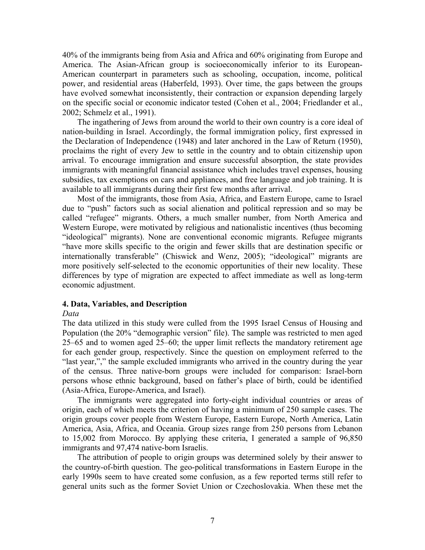40% of the immigrants being from Asia and Africa and 60% originating from Europe and America. The Asian-African group is socioeconomically inferior to its European-American counterpart in parameters such as schooling, occupation, income, political power, and residential areas (Haberfeld, 1993). Over time, the gaps between the groups have evolved somewhat inconsistently, their contraction or expansion depending largely on the specific social or economic indicator tested (Cohen et al., 2004; Friedlander et al., 2002; Schmelz et al., 1991).

The ingathering of Jews from around the world to their own country is a core ideal of nation-building in Israel. Accordingly, the formal immigration policy, first expressed in the Declaration of Independence (1948) and later anchored in the Law of Return (1950), proclaims the right of every Jew to settle in the country and to obtain citizenship upon arrival. To encourage immigration and ensure successful absorption, the state provides immigrants with meaningful financial assistance which includes travel expenses, housing subsidies, tax exemptions on cars and appliances, and free language and job training. It is available to all immigrants during their first few months after arrival.

Most of the immigrants, those from Asia, Africa, and Eastern Europe, came to Israel due to "push" factors such as social alienation and political repression and so may be called "refugee" migrants. Others, a much smaller number, from North America and Western Europe, were motivated by religious and nationalistic incentives (thus becoming "ideological" migrants). None are conventional economic migrants. Refugee migrants "have more skills specific to the origin and fewer skills that are destination specific or internationally transferable" (Chiswick and Wenz, 2005); "ideological" migrants are more positively self-selected to the economic opportunities of their new locality. These differences by type of migration are expected to affect immediate as well as long-term economic adjustment.

## **4. Data, Variables, and Description**

## *Data*

The data utilized in this study were culled from the 1995 Israel Census of Housing and Population (the 20% "demographic version" file). The sample was restricted to men aged 25–65 and to women aged 25–60; the upper limit reflects the mandatory retirement age for each gender group, respectively. Since the question on employment referred to the "last year,"," the sample excluded immigrants who arrived in the country during the year of the census. Three native-born groups were included for comparison: Israel-born persons whose ethnic background, based on father's place of birth, could be identified (Asia-Africa, Europe-America, and Israel).

The immigrants were aggregated into forty-eight individual countries or areas of origin, each of which meets the criterion of having a minimum of 250 sample cases. The origin groups cover people from Western Europe, Eastern Europe, North America, Latin America, Asia, Africa, and Oceania. Group sizes range from 250 persons from Lebanon to 15,002 from Morocco. By applying these criteria, I generated a sample of 96,850 immigrants and 97,474 native-born Israelis.

The attribution of people to origin groups was determined solely by their answer to the country-of-birth question. The geo-political transformations in Eastern Europe in the early 1990s seem to have created some confusion, as a few reported terms still refer to general units such as the former Soviet Union or Czechoslovakia. When these met the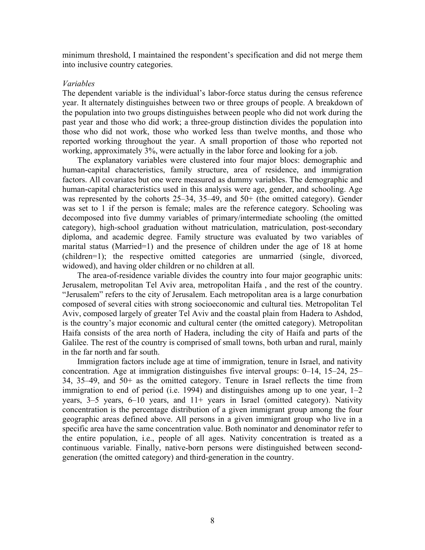minimum threshold, I maintained the respondent's specification and did not merge them into inclusive country categories.

#### *Variables*

The dependent variable is the individual's labor-force status during the census reference year. It alternately distinguishes between two or three groups of people. A breakdown of the population into two groups distinguishes between people who did not work during the past year and those who did work; a three-group distinction divides the population into those who did not work, those who worked less than twelve months, and those who reported working throughout the year. A small proportion of those who reported not working, approximately 3%, were actually in the labor force and looking for a job.

The explanatory variables were clustered into four major blocs: demographic and human-capital characteristics, family structure, area of residence, and immigration factors. All covariates but one were measured as dummy variables. The demographic and human-capital characteristics used in this analysis were age, gender, and schooling. Age was represented by the cohorts 25–34, 35–49, and 50+ (the omitted category). Gender was set to 1 if the person is female; males are the reference category. Schooling was decomposed into five dummy variables of primary/intermediate schooling (the omitted category), high-school graduation without matriculation, matriculation, post-secondary diploma, and academic degree. Family structure was evaluated by two variables of marital status (Married=1) and the presence of children under the age of 18 at home (children=1); the respective omitted categories are unmarried (single, divorced, widowed), and having older children or no children at all.

The area-of-residence variable divides the country into four major geographic units: Jerusalem, metropolitan Tel Aviv area, metropolitan Haifa , and the rest of the country. "Jerusalem" refers to the city of Jerusalem. Each metropolitan area is a large conurbation composed of several cities with strong socioeconomic and cultural ties. Metropolitan Tel Aviv, composed largely of greater Tel Aviv and the coastal plain from Hadera to Ashdod, is the country's major economic and cultural center (the omitted category). Metropolitan Haifa consists of the area north of Hadera, including the city of Haifa and parts of the Galilee. The rest of the country is comprised of small towns, both urban and rural, mainly in the far north and far south.

Immigration factors include age at time of immigration, tenure in Israel, and nativity concentration. Age at immigration distinguishes five interval groups: 0–14, 15–24, 25– 34, 35–49, and 50+ as the omitted category. Tenure in Israel reflects the time from immigration to end of period (i.e. 1994) and distinguishes among up to one year, 1–2 years, 3–5 years, 6–10 years, and 11+ years in Israel (omitted category). Nativity concentration is the percentage distribution of a given immigrant group among the four geographic areas defined above. All persons in a given immigrant group who live in a specific area have the same concentration value. Both nominator and denominator refer to the entire population, i.e., people of all ages. Nativity concentration is treated as a continuous variable. Finally, native-born persons were distinguished between secondgeneration (the omitted category) and third-generation in the country.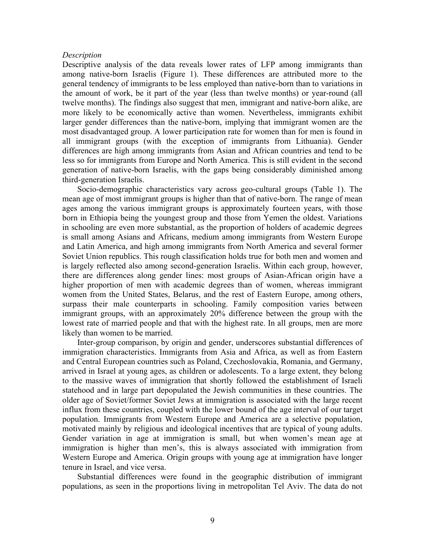#### *Description*

Descriptive analysis of the data reveals lower rates of LFP among immigrants than among native-born Israelis (Figure 1). These differences are attributed more to the general tendency of immigrants to be less employed than native-born than to variations in the amount of work, be it part of the year (less than twelve months) or year-round (all twelve months). The findings also suggest that men, immigrant and native-born alike, are more likely to be economically active than women. Nevertheless, immigrants exhibit larger gender differences than the native-born, implying that immigrant women are the most disadvantaged group. A lower participation rate for women than for men is found in all immigrant groups (with the exception of immigrants from Lithuania). Gender differences are high among immigrants from Asian and African countries and tend to be less so for immigrants from Europe and North America. This is still evident in the second generation of native-born Israelis, with the gaps being considerably diminished among third-generation Israelis.

Socio-demographic characteristics vary across geo-cultural groups (Table 1). The mean age of most immigrant groups is higher than that of native-born. The range of mean ages among the various immigrant groups is approximately fourteen years, with those born in Ethiopia being the youngest group and those from Yemen the oldest. Variations in schooling are even more substantial, as the proportion of holders of academic degrees is small among Asians and Africans, medium among immigrants from Western Europe and Latin America, and high among immigrants from North America and several former Soviet Union republics. This rough classification holds true for both men and women and is largely reflected also among second-generation Israelis. Within each group, however, there are differences along gender lines: most groups of Asian-African origin have a higher proportion of men with academic degrees than of women, whereas immigrant women from the United States, Belarus, and the rest of Eastern Europe, among others, surpass their male counterparts in schooling. Family composition varies between immigrant groups, with an approximately 20% difference between the group with the lowest rate of married people and that with the highest rate. In all groups, men are more likely than women to be married.

Inter-group comparison, by origin and gender, underscores substantial differences of immigration characteristics. Immigrants from Asia and Africa, as well as from Eastern and Central European countries such as Poland, Czechoslovakia, Romania, and Germany, arrived in Israel at young ages, as children or adolescents. To a large extent, they belong to the massive waves of immigration that shortly followed the establishment of Israeli statehood and in large part depopulated the Jewish communities in these countries. The older age of Soviet/former Soviet Jews at immigration is associated with the large recent influx from these countries, coupled with the lower bound of the age interval of our target population. Immigrants from Western Europe and America are a selective population, motivated mainly by religious and ideological incentives that are typical of young adults. Gender variation in age at immigration is small, but when women's mean age at immigration is higher than men's, this is always associated with immigration from Western Europe and America. Origin groups with young age at immigration have longer tenure in Israel, and vice versa.

Substantial differences were found in the geographic distribution of immigrant populations, as seen in the proportions living in metropolitan Tel Aviv. The data do not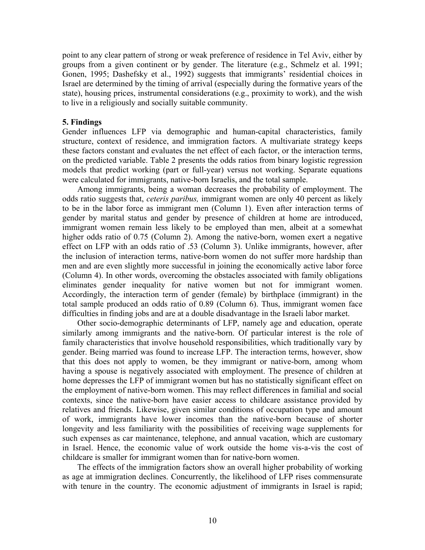point to any clear pattern of strong or weak preference of residence in Tel Aviv, either by groups from a given continent or by gender. The literature (e.g., Schmelz et al. 1991; Gonen, 1995; Dashefsky et al., 1992) suggests that immigrants' residential choices in Israel are determined by the timing of arrival (especially during the formative years of the state), housing prices, instrumental considerations (e.g., proximity to work), and the wish to live in a religiously and socially suitable community.

#### **5. Findings**

Gender influences LFP via demographic and human-capital characteristics, family structure, context of residence, and immigration factors. A multivariate strategy keeps these factors constant and evaluates the net effect of each factor, or the interaction terms, on the predicted variable. Table 2 presents the odds ratios from binary logistic regression models that predict working (part or full-year) versus not working. Separate equations were calculated for immigrants, native-born Israelis, and the total sample.

Among immigrants, being a woman decreases the probability of employment. The odds ratio suggests that, *ceteris paribus,* immigrant women are only 40 percent as likely to be in the labor force as immigrant men (Column 1). Even after interaction terms of gender by marital status and gender by presence of children at home are introduced, immigrant women remain less likely to be employed than men, albeit at a somewhat higher odds ratio of 0.75 (Column 2). Among the native-born, women exert a negative effect on LFP with an odds ratio of .53 (Column 3). Unlike immigrants, however, after the inclusion of interaction terms, native-born women do not suffer more hardship than men and are even slightly more successful in joining the economically active labor force (Column 4). In other words, overcoming the obstacles associated with family obligations eliminates gender inequality for native women but not for immigrant women. Accordingly, the interaction term of gender (female) by birthplace (immigrant) in the total sample produced an odds ratio of 0.89 (Column 6). Thus, immigrant women face difficulties in finding jobs and are at a double disadvantage in the Israeli labor market.

Other socio-demographic determinants of LFP, namely age and education, operate similarly among immigrants and the native-born. Of particular interest is the role of family characteristics that involve household responsibilities, which traditionally vary by gender. Being married was found to increase LFP. The interaction terms, however, show that this does not apply to women, be they immigrant or native-born, among whom having a spouse is negatively associated with employment. The presence of children at home depresses the LFP of immigrant women but has no statistically significant effect on the employment of native-born women. This may reflect differences in familial and social contexts, since the native-born have easier access to childcare assistance provided by relatives and friends. Likewise, given similar conditions of occupation type and amount of work, immigrants have lower incomes than the native-born because of shorter longevity and less familiarity with the possibilities of receiving wage supplements for such expenses as car maintenance, telephone, and annual vacation, which are customary in Israel. Hence, the economic value of work outside the home vis-a-vis the cost of childcare is smaller for immigrant women than for native-born women.

The effects of the immigration factors show an overall higher probability of working as age at immigration declines. Concurrently, the likelihood of LFP rises commensurate with tenure in the country. The economic adjustment of immigrants in Israel is rapid;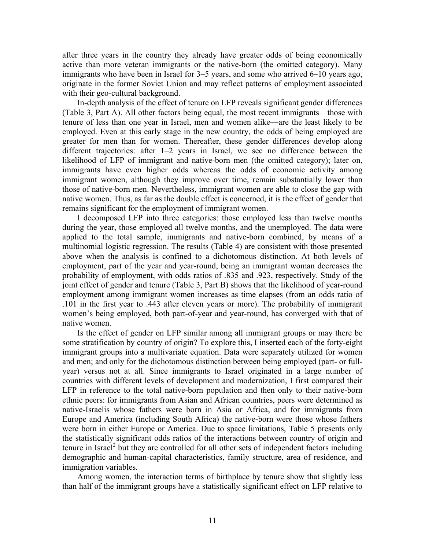after three years in the country they already have greater odds of being economically active than more veteran immigrants or the native-born (the omitted category). Many immigrants who have been in Israel for 3–5 years, and some who arrived 6–10 years ago, originate in the former Soviet Union and may reflect patterns of employment associated with their geo-cultural background.

In-depth analysis of the effect of tenure on LFP reveals significant gender differences (Table 3, Part A). All other factors being equal, the most recent immigrants—those with tenure of less than one year in Israel, men and women alike—are the least likely to be employed. Even at this early stage in the new country, the odds of being employed are greater for men than for women. Thereafter, these gender differences develop along different trajectories: after 1–2 years in Israel, we see no difference between the likelihood of LFP of immigrant and native-born men (the omitted category); later on, immigrants have even higher odds whereas the odds of economic activity among immigrant women, although they improve over time, remain substantially lower than those of native-born men. Nevertheless, immigrant women are able to close the gap with native women. Thus, as far as the double effect is concerned, it is the effect of gender that remains significant for the employment of immigrant women.

I decomposed LFP into three categories: those employed less than twelve months during the year, those employed all twelve months, and the unemployed. The data were applied to the total sample, immigrants and native-born combined, by means of a multinomial logistic regression. The results (Table 4) are consistent with those presented above when the analysis is confined to a dichotomous distinction. At both levels of employment, part of the year and year-round, being an immigrant woman decreases the probability of employment, with odds ratios of .835 and .923, respectively. Study of the joint effect of gender and tenure (Table 3, Part B) shows that the likelihood of year-round employment among immigrant women increases as time elapses (from an odds ratio of .101 in the first year to .443 after eleven years or more). The probability of immigrant women's being employed, both part-of-year and year-round, has converged with that of native women.

Is the effect of gender on LFP similar among all immigrant groups or may there be some stratification by country of origin? To explore this, I inserted each of the forty-eight immigrant groups into a multivariate equation. Data were separately utilized for women and men; and only for the dichotomous distinction between being employed (part- or fullyear) versus not at all. Since immigrants to Israel originated in a large number of countries with different levels of development and modernization, I first compared their LFP in reference to the total native-born population and then only to their native-born ethnic peers: for immigrants from Asian and African countries, peers were determined as native-Israelis whose fathers were born in Asia or Africa, and for immigrants from Europe and America (including South Africa) the native-born were those whose fathers were born in either Europe or America. Due to space limitations, Table 5 presents only the statistically significant odds ratios of the interactions between country of origin and tenure in Israel<sup>[2](#page-27-1)</sup> but they are controlled for all other sets of independent factors including demographic and human-capital characteristics, family structure, area of residence, and immigration variables.

Among women, the interaction terms of birthplace by tenure show that slightly less than half of the immigrant groups have a statistically significant effect on LFP relative to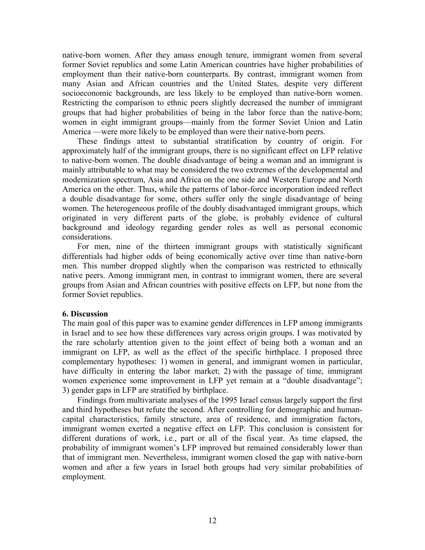native-born women. After they amass enough tenure, immigrant women from several former Soviet republics and some Latin American countries have higher probabilities of employment than their native-born counterparts. By contrast, immigrant women from many Asian and African countries and the United States, despite very different socioeconomic backgrounds, are less likely to be employed than native-born women. Restricting the comparison to ethnic peers slightly decreased the number of immigrant groups that had higher probabilities of being in the labor force than the native-born; women in eight immigrant groups—mainly from the former Soviet Union and Latin America —were more likely to be employed than were their native-born peers.

These findings attest to substantial stratification by country of origin. For approximately half of the immigrant groups, there is no significant effect on LFP relative to native-born women. The double disadvantage of being a woman and an immigrant is mainly attributable to what may be considered the two extremes of the developmental and modernization spectrum, Asia and Africa on the one side and Western Europe and North America on the other. Thus, while the patterns of labor-force incorporation indeed reflect a double disadvantage for some, others suffer only the single disadvantage of being women. The heterogeneous profile of the doubly disadvantaged immigrant groups, which originated in very different parts of the globe, is probably evidence of cultural background and ideology regarding gender roles as well as personal economic considerations.

For men, nine of the thirteen immigrant groups with statistically significant differentials had higher odds of being economically active over time than native-born men. This number dropped slightly when the comparison was restricted to ethnically native peers. Among immigrant men, in contrast to immigrant women, there are several groups from Asian and African countries with positive effects on LFP, but none from the former Soviet republics.

## **6. Discussion**

The main goal of this paper was to examine gender differences in LFP among immigrants in Israel and to see how these differences vary across origin groups. I was motivated by the rare scholarly attention given to the joint effect of being both a woman and an immigrant on LFP, as well as the effect of the specific birthplace. I proposed three complementary hypotheses: 1) women in general, and immigrant women in particular, have difficulty in entering the labor market; 2) with the passage of time, immigrant women experience some improvement in LFP yet remain at a "double disadvantage"; 3) gender gaps in LFP are stratified by birthplace.

Findings from multivariate analyses of the 1995 Israel census largely support the first and third hypotheses but refute the second. After controlling for demographic and humancapital characteristics, family structure, area of residence, and immigration factors, immigrant women exerted a negative effect on LFP. This conclusion is consistent for different durations of work, i.e., part or all of the fiscal year. As time elapsed, the probability of immigrant women's LFP improved but remained considerably lower than that of immigrant men. Nevertheless, immigrant women closed the gap with native-born women and after a few years in Israel both groups had very similar probabilities of employment.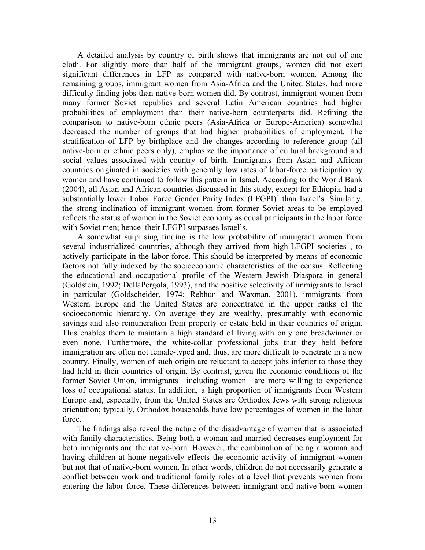A detailed analysis by country of birth shows that immigrants are not cut of one cloth. For slightly more than half of the immigrant groups, women did not exert significant differences in LFP as compared with native-born women. Among the remaining groups, immigrant women from Asia-Africa and the United States, had more difficulty finding jobs than native-born women did. By contrast, immigrant women from many former Soviet republics and several Latin American countries had higher probabilities of employment than their native-born counterparts did. Refining the comparison to native-born ethnic peers (Asia-Africa or Europe-America) somewhat decreased the number of groups that had higher probabilities of employment. The stratification of LFP by birthplace and the changes according to reference group (all native-born or ethnic peers only), emphasize the importance of cultural background and social values associated with country of birth. Immigrants from Asian and African countries originated in societies with generally low rates of labor-force participation by women and have continued to follow this pattern in Israel. According to the World Bank (2004), all Asian and African countries discussed in this study, except for Ethiopia, had a substantially lower Labor Force Gender Parity Index  $(LFGPI)^3$  than Israel's. Similarly, the strong inclination of immigrant women from former Soviet areas to be employed reflects the status of women in the Soviet economy as equal participants in the labor force with Soviet men; hence their LFGPI surpasses Israel's.

A somewhat surprising finding is the low probability of immigrant women from several industrialized countries, although they arrived from high-LFGPI societies , to actively participate in the labor force. This should be interpreted by means of economic factors not fully indexed by the socioeconomic characteristics of the census. Reflecting the educational and occupational profile of the Western Jewish Diaspora in general (Goldstein, 1992; DellaPergola, 1993), and the positive selectivity of immigrants to Israel in particular (Goldscheider, 1974; Rebhun and Waxman, 2001), immigrants from Western Europe and the United States are concentrated in the upper ranks of the socioeconomic hierarchy. On average they are wealthy, presumably with economic savings and also remuneration from property or estate held in their countries of origin. This enables them to maintain a high standard of living with only one breadwinner or even none. Furthermore, the white-collar professional jobs that they held before immigration are often not female-typed and, thus, are more difficult to penetrate in a new country. Finally, women of such origin are reluctant to accept jobs inferior to those they had held in their countries of origin. By contrast, given the economic conditions of the former Soviet Union, immigrants—including women—are more willing to experience loss of occupational status. In addition, a high proportion of immigrants from Western Europe and, especially, from the United States are Orthodox Jews with strong religious orientation; typically, Orthodox households have low percentages of women in the labor force.

The findings also reveal the nature of the disadvantage of women that is associated with family characteristics. Being both a woman and married decreases employment for both immigrants and the native-born. However, the combination of being a woman and having children at home negatively effects the economic activity of immigrant women but not that of native-born women. In other words, children do not necessarily generate a conflict between work and traditional family roles at a level that prevents women from entering the labor force. These differences between immigrant and native-born women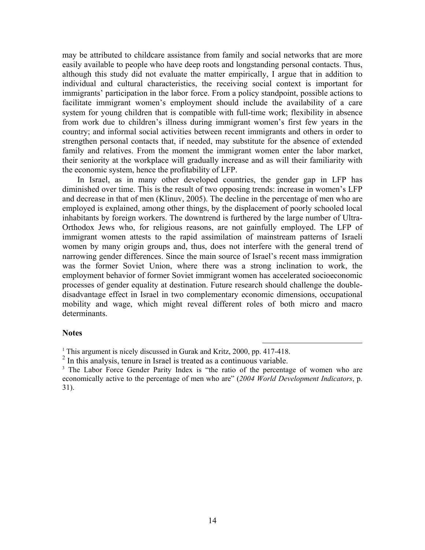may be attributed to childcare assistance from family and social networks that are more easily available to people who have deep roots and longstanding personal contacts. Thus, although this study did not evaluate the matter empirically, I argue that in addition to individual and cultural characteristics, the receiving social context is important for immigrants' participation in the labor force. From a policy standpoint, possible actions to facilitate immigrant women's employment should include the availability of a care system for young children that is compatible with full-time work; flexibility in absence from work due to children's illness during immigrant women's first few years in the country; and informal social activities between recent immigrants and others in order to strengthen personal contacts that, if needed, may substitute for the absence of extended family and relatives. From the moment the immigrant women enter the labor market, their seniority at the workplace will gradually increase and as will their familiarity with the economic system, hence the profitability of LFP.

In Israel, as in many other developed countries, the gender gap in LFP has diminished over time. This is the result of two opposing trends: increase in women's LFP and decrease in that of men (Klinuv, 2005). The decline in the percentage of men who are employed is explained, among other things, by the displacement of poorly schooled local inhabitants by foreign workers. The downtrend is furthered by the large number of Ultra-Orthodox Jews who, for religious reasons, are not gainfully employed. The LFP of immigrant women attests to the rapid assimilation of mainstream patterns of Israeli women by many origin groups and, thus, does not interfere with the general trend of narrowing gender differences. Since the main source of Israel's recent mass immigration was the former Soviet Union, where there was a strong inclination to work, the employment behavior of former Soviet immigrant women has accelerated socioeconomic processes of gender equality at destination. Future research should challenge the doubledisadvantage effect in Israel in two complementary economic dimensions, occupational mobility and wage, which might reveal different roles of both micro and macro determinants.

## **Notes**

<sup>&</sup>lt;sup>1</sup> This argument is nicely discussed in Gurak and Kritz, 2000, pp. 417-418.

 $2$  In this analysis, tenure in Israel is treated as a continuous variable.

<sup>&</sup>lt;sup>3</sup> The Labor Force Gender Parity Index is "the ratio of the percentage of women who are economically active to the percentage of men who are" (*2004 World Development Indicators*, p. 31).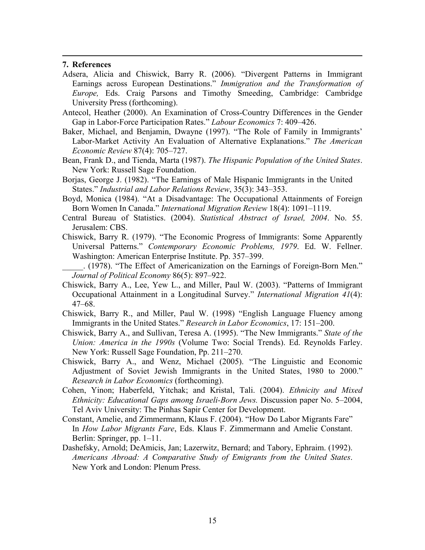## **7. References**

- Adsera, Alicia and Chiswick, Barry R. (2006). "Divergent Patterns in Immigrant Earnings across European Destinations." *Immigration and the Transformation of Europe,* Eds. Craig Parsons and Timothy Smeeding, Cambridge: Cambridge University Press (forthcoming).
- Antecol, Heather (2000). An Examination of Cross-Country Differences in the Gender Gap in Labor-Force Participation Rates." *Labour Economics* 7: 409–426.
- Baker, Michael, and Benjamin, Dwayne (1997). "The Role of Family in Immigrants' Labor-Market Activity An Evaluation of Alternative Explanations." *The American Economic Review* 87(4): 705–727.
- Bean, Frank D., and Tienda, Marta (1987). *The Hispanic Population of the United States*. New York: Russell Sage Foundation.
- Borjas, George J. (1982). "The Earnings of Male Hispanic Immigrants in the United States." *Industrial and Labor Relations Review*, 35(3): 343–353.
- Boyd, Monica (1984). "At a Disadvantage: The Occupational Attainments of Foreign Born Women In Canada." *International Migration Review* 18(4): 1091–1119.
- Central Bureau of Statistics. (2004). *Statistical Abstract of Israel, 2004*. No. 55. Jerusalem: CBS.
- Chiswick, Barry R. (1979). "The Economic Progress of Immigrants: Some Apparently Universal Patterns." *Contemporary Economic Problems, 1979*. Ed. W. Fellner. Washington: American Enterprise Institute. Pp. 357–399.
- \_\_\_\_\_. (1978). "The Effect of Americanization on the Earnings of Foreign-Born Men." *Journal of Political Economy* 86(5): 897–922.
- Chiswick, Barry A., Lee, Yew L., and Miller, Paul W. (2003). "Patterns of Immigrant Occupational Attainment in a Longitudinal Survey." *International Migration 41*(4): 47–68.
- Chiswick, Barry R., and Miller, Paul W. (1998) "English Language Fluency among Immigrants in the United States." *Research in Labor Economics*, 17: 151–200.
- Chiswick, Barry A., and Sullivan, Teresa A. (1995). "The New Immigrants." *State of the Union: America in the 1990s* (Volume Two: Social Trends). Ed. Reynolds Farley. New York: Russell Sage Foundation, Pp. 211–270.
- Chiswick, Barry A., and Wenz, Michael (2005). "The Linguistic and Economic Adjustment of Soviet Jewish Immigrants in the United States, 1980 to 2000." *Research in Labor Economics* (forthcoming).
- Cohen, Yinon; Haberfeld, Yitchak; and Kristal, Tali. (2004). *Ethnicity and Mixed Ethnicity: Educational Gaps among Israeli-Born Jews.* Discussion paper No. 5–2004, Tel Aviv University: The Pinhas Sapir Center for Development.
- Constant, Amelie, and Zimmermann, Klaus F. (2004). "How Do Labor Migrants Fare" In *How Labor Migrants Fare*, Eds. Klaus F. Zimmermann and Amelie Constant. Berlin: Springer, pp. 1–11.
- Dashefsky, Arnold; DeAmicis, Jan; Lazerwitz, Bernard; and Tabory, Ephraim. (1992). *Americans Abroad: A Comparative Study of Emigrants from the United States*. New York and London: Plenum Press.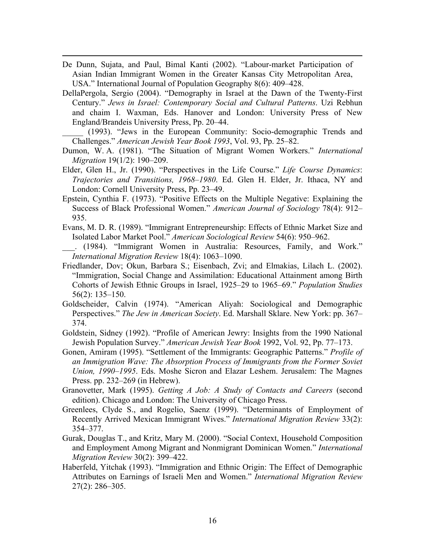De Dunn, Sujata, and Paul, Bimal Kanti (2002). "Labour-market Participation of Asian Indian Immigrant Women in the Greater Kansas City Metropolitan Area, USA." International Journal of Population Geography 8(6): 409–428.

 $\overline{a}$ 

DellaPergola, Sergio (2004). "Demography in Israel at the Dawn of the Twenty-First Century." *Jews in Israel: Contemporary Social and Cultural Patterns*. Uzi Rebhun and chaim I. Waxman, Eds. Hanover and London: University Press of New England/Brandeis University Press, Pp. 20–44.

\_\_\_\_\_ (1993). "Jews in the European Community: Socio-demographic Trends and Challenges." *American Jewish Year Book 1993*, Vol. 93, Pp. 25–82.

- Dumon, W. A. (1981). "The Situation of Migrant Women Workers." *International Migration* 19(1/2): 190–209.
- Elder, Glen H., Jr. (1990). "Perspectives in the Life Course." *Life Course Dynamics*: *Trajectories and Transitions, 1968–1980*. Ed. Glen H. Elder, Jr. Ithaca, NY and London: Cornell University Press, Pp. 23–49.
- Epstein, Cynthia F. (1973). "Positive Effects on the Multiple Negative: Explaining the Success of Black Professional Women." *American Journal of Sociology* 78(4): 912– 935.
- Evans, M. D. R. (1989). "Immigrant Entrepreneurship: Effects of Ethnic Market Size and Isolated Labor Market Pool." *American Sociological Review* 54(6): 950–962.

\_\_\_. (1984). "Immigrant Women in Australia: Resources, Family, and Work." *International Migration Review* 18(4): 1063–1090.

- Friedlander, Dov; Okun, Barbara S.; Eisenbach, Zvi; and Elmakias, Lilach L. (2002). "Immigration, Social Change and Assimilation: Educational Attainment among Birth Cohorts of Jewish Ethnic Groups in Israel, 1925–29 to 1965–69." *Population Studies* 56(2): 135–150.
- Goldscheider, Calvin (1974). "American Aliyah: Sociological and Demographic Perspectives." *The Jew in American Society*. Ed. Marshall Sklare. New York: pp. 367– 374.
- Goldstein, Sidney (1992). "Profile of American Jewry: Insights from the 1990 National Jewish Population Survey." *American Jewish Year Book* 1992, Vol. 92, Pp. 77–173.
- Gonen, Amiram (1995). "Settlement of the Immigrants: Geographic Patterns." *Profile of an Immigration Wave: The Absorption Process of Immigrants from the Former Soviet Union, 1990–1995*. Eds. Moshe Sicron and Elazar Leshem. Jerusalem: The Magnes Press. pp. 232–269 (in Hebrew).
- Granovetter, Mark (1995). *Getting A Job: A Study of Contacts and Careers* (second edition). Chicago and London: The University of Chicago Press.
- Greenlees, Clyde S., and Rogelio, Saenz (1999). "Determinants of Employment of Recently Arrived Mexican Immigrant Wives." *International Migration Review* 33(2): 354–377.
- Gurak, Douglas T., and Kritz, Mary M. (2000). "Social Context, Household Composition and Employment Among Migrant and Nonmigrant Dominican Women." *International Migration Review* 30(2): 399–422.
- Haberfeld, Yitchak (1993). "Immigration and Ethnic Origin: The Effect of Demographic Attributes on Earnings of Israeli Men and Women." *International Migration Review* 27(2): 286–305.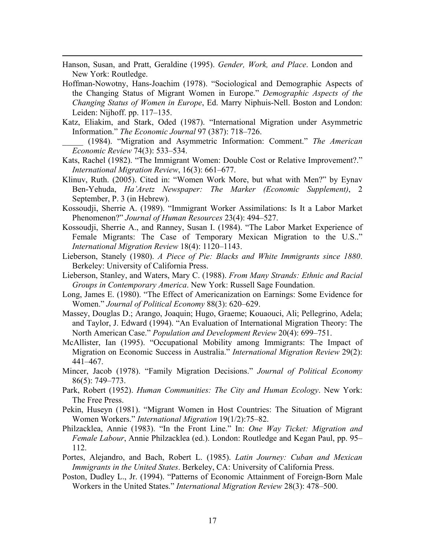Hanson, Susan, and Pratt, Geraldine (1995). *Gender, Work, and Place*. London and New York: Routledge.

 $\overline{a}$ 

- Hoffman-Nowotny, Hans-Joachim (1978). "Sociological and Demographic Aspects of the Changing Status of Migrant Women in Europe." *Demographic Aspects of the Changing Status of Women in Europe*, Ed. Marry Niphuis-Nell. Boston and London: Leiden: Nijhoff. pp. 117–135.
- Katz, Eliakim, and Stark, Oded (1987). "International Migration under Asymmetric Information." *The Economic Journal* 97 (387): 718–726.

\_\_\_\_\_ (1984). "Migration and Asymmetric Information: Comment." *The American Economic Review* 74(3): 533–534.

- Kats, Rachel (1982). "The Immigrant Women: Double Cost or Relative Improvement?." *International Migration Review*, 16(3): 661–677.
- Klinuv, Ruth. (2005). Cited in: "Women Work More, but what with Men?" by Eynav Ben-Yehuda, *Ha'Aretz Newspaper: The Marker (Economic Supplement)*, 2 September, P. 3 (in Hebrew).
- Kossoudji, Sherrie A. (1989). "Immigrant Worker Assimilations: Is It a Labor Market Phenomenon?" *Journal of Human Resources* 23(4): 494–527.
- Kossoudji, Sherrie A., and Ranney, Susan I. (1984). "The Labor Market Experience of Female Migrants: The Case of Temporary Mexican Migration to the U.S.." *International Migration Review* 18(4): 1120–1143.
- Lieberson, Stanely (1980). *A Piece of Pie: Blacks and White Immigrants since 1880*. Berkeley: University of California Press.
- Lieberson, Stanley, and Waters, Mary C. (1988). *From Many Strands: Ethnic and Racial Groups in Contemporary America*. New York: Russell Sage Foundation.
- Long, James E. (1980). "The Effect of Americanization on Earnings: Some Evidence for Women." *Journal of Political Economy* 88(3): 620–629.
- Massey, Douglas D.; Arango, Joaquin; Hugo, Graeme; Kouaouci, Ali; Pellegrino, Adela; and Taylor, J. Edward (1994). "An Evaluation of International Migration Theory: The North American Case." *Population and Development Review* 20(4): 699–751.
- McAllister, Ian (1995). "Occupational Mobility among Immigrants: The Impact of Migration on Economic Success in Australia." *International Migration Review* 29(2): 441–467.
- Mincer, Jacob (1978). "Family Migration Decisions." *Journal of Political Economy* 86(5): 749–773.
- Park, Robert (1952). *Human Communities: The City and Human Ecology*. New York: The Free Press.
- Pekin, Huseyn (1981). "Migrant Women in Host Countries: The Situation of Migrant Women Workers." *International Migration* 19(1/2):75–82.
- Philzacklea, Annie (1983). "In the Front Line." In: *One Way Ticket: Migration and Female Labour*, Annie Philzacklea (ed.). London: Routledge and Kegan Paul, pp. 95– 112.
- Portes, Alejandro, and Bach, Robert L. (1985). *Latin Journey: Cuban and Mexican Immigrants in the United States*. Berkeley, CA: University of California Press.
- Poston, Dudley L., Jr. (1994). "Patterns of Economic Attainment of Foreign-Born Male Workers in the United States." *International Migration Review* 28(3): 478–500.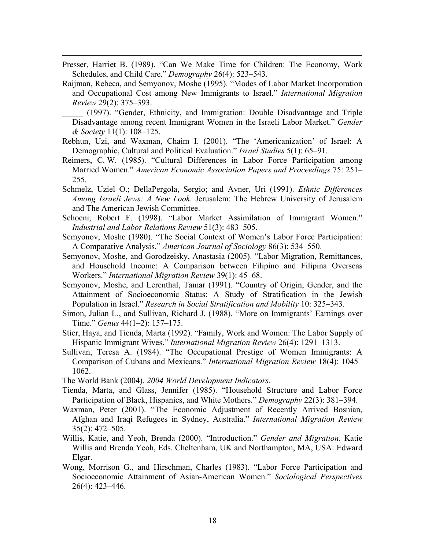Presser, Harriet B. (1989). "Can We Make Time for Children: The Economy, Work Schedules, and Child Care." *Demography* 26(4): 523–543.

- Raijman, Rebeca, and Semyonov, Moshe (1995). "Modes of Labor Market Incorporation and Occupational Cost among New Immigrants to Israel." *International Migration Review* 29(2): 375–393.
	- \_\_\_\_\_ (1997). "Gender, Ethnicity, and Immigration: Double Disadvantage and Triple Disadvantage among recent Immigrant Women in the Israeli Labor Market." *Gender & Society* 11(1): 108–125.
- Rebhun, Uzi, and Waxman, Chaim I. (2001). "The 'Americanization' of Israel: A Demographic, Cultural and Political Evaluation." *Israel Studies* 5(1): 65–91.
- Reimers, C. W. (1985). "Cultural Differences in Labor Force Participation among Married Women." *American Economic Association Papers and Proceedings* 75: 251– 255.
- Schmelz, Uziel O.; DellaPergola, Sergio; and Avner, Uri (1991). *Ethnic Differences Among Israeli Jews: A New Look*. Jerusalem: The Hebrew University of Jerusalem and The American Jewish Committee.
- Schoeni, Robert F. (1998). "Labor Market Assimilation of Immigrant Women." *Industrial and Labor Relations Review* 51(3): 483–505.
- Semyonov, Moshe (1980). "The Social Context of Women's Labor Force Participation: A Comparative Analysis." *American Journal of Sociology* 86(3): 534–550.
- Semyonov, Moshe, and Gorodzeisky, Anastasia (2005). "Labor Migration, Remittances, and Household Income: A Comparison between Filipino and Filipina Overseas Workers." *International Migration Review* 39(1): 45–68.
- Semyonov, Moshe, and Lerenthal, Tamar (1991). "Country of Origin, Gender, and the Attainment of Socioeconomic Status: A Study of Stratification in the Jewish Population in Israel." *Research in Social Stratification and Mobility* 10: 325–343.
- Simon, Julian L., and Sullivan, Richard J. (1988). "More on Immigrants' Earnings over Time." *Genus* 44(1–2): 157–175.
- Stier, Haya, and Tienda, Marta (1992). "Family, Work and Women: The Labor Supply of Hispanic Immigrant Wives." *International Migration Review* 26(4): 1291–1313.
- Sullivan, Teresa A. (1984). "The Occupational Prestige of Women Immigrants: A Comparison of Cubans and Mexicans." *International Migration Review* 18(4): 1045– 1062.
- The World Bank (2004). *2004 World Development Indicators*.
- Tienda, Marta, and Glass, Jennifer (1985). "Household Structure and Labor Force Participation of Black, Hispanics, and White Mothers." *Demography* 22(3): 381–394.
- Waxman, Peter (2001). "The Economic Adjustment of Recently Arrived Bosnian, Afghan and Iraqi Refugees in Sydney, Australia." *International Migration Review* 35(2): 472–505.
- Willis, Katie, and Yeoh, Brenda (2000). "Introduction." *Gender and Migration*. Katie Willis and Brenda Yeoh, Eds. Cheltenham, UK and Northampton, MA, USA: Edward Elgar.
- Wong, Morrison G., and Hirschman, Charles (1983). "Labor Force Participation and Socioeconomic Attainment of Asian-American Women." *Sociological Perspectives* 26(4): 423–446.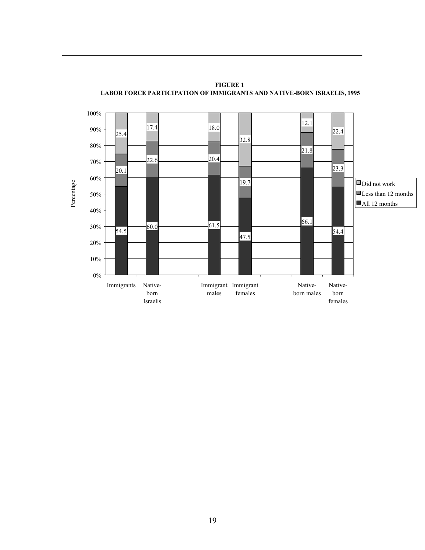

**FIGURE 1 LABOR FORCE PARTICIPATION OF IMMIGRANTS AND NATIVE-BORN ISRAELIS, 1995**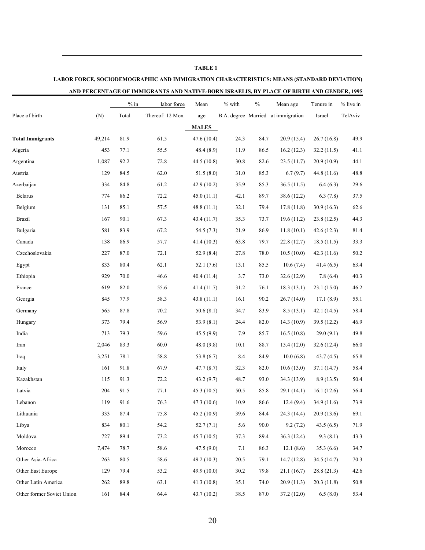## **TABLE 1 LABOR FORCE, SOCIODEMOGRAPHIC AND IMMIGRATION CHARACTERISTICS: MEANS (STANDARD DEVIATION) AND PERCENTAGE OF IMMIGRANTS AND NATIVE-BORN ISRAELIS, BY PLACE OF BIRTH AND GENDER, 1995**

|                           |        | $%$ in | labor force      | Mean         | % with | $\frac{0}{0}$ | Mean age                           | Tenure in   | % live in |
|---------------------------|--------|--------|------------------|--------------|--------|---------------|------------------------------------|-------------|-----------|
| Place of birth            | (N)    | Total  | Thereof: 12 Mon. | age          |        |               | B.A. degree Married at immigration | Israel      | TelAviv   |
|                           |        |        |                  | <b>MALES</b> |        |               |                                    |             |           |
| <b>Total Immigrants</b>   | 49,214 | 81.9   | 61.5             | 47.6 (10.4)  | 24.3   | 84.7          | 20.9(15.4)                         | 26.7(16.8)  | 49.9      |
| Algeria                   | 453    | 77.1   | 55.5             | 48.4(8.9)    | 11.9   | 86.5          | 16.2(12.3)                         | 32.2(11.5)  | 41.1      |
| Argentina                 | 1,087  | 92.2   | 72.8             | 44.5(10.8)   | 30.8   | 82.6          | 23.5(11.7)                         | 20.9(10.9)  | 44.1      |
| Austria                   | 129    | 84.5   | 62.0             | 51.5(8.0)    | 31.0   | 85.3          | 6.7(9.7)                           | 44.8 (11.6) | 48.8      |
| Azerbaijan                | 334    | 84.8   | 61.2             | 42.9(10.2)   | 35.9   | 85.3          | 36.5(11.5)                         | 6.4(6.3)    | 29.6      |
| <b>Belarus</b>            | 774    | 86.2   | 72.2             | 45.0(11.1)   | 42.1   | 89.7          | 38.6 (12.2)                        | 6.3(7.8)    | 37.5      |
| Belgium                   | 131    | 85.1   | 57.5             | 48.8(11.1)   | 32.1   | 79.4          | 17.8(11.8)                         | 30.9(16.3)  | 62.6      |
| <b>Brazil</b>             | 167    | 90.1   | 67.3             | 43.4 (11.7)  | 35.3   | 73.7          | 19.6(11.2)                         | 23.8(12.5)  | 44.3      |
| Bulgaria                  | 581    | 83.9   | 67.2             | 54.5 $(7.3)$ | 21.9   | 86.9          | 11.8(10.1)                         | 42.6(12.3)  | 81.4      |
| Canada                    | 138    | 86.9   | 57.7             | 41.4(10.3)   | 63.8   | 79.7          | 22.8(12.7)                         | 18.5(11.5)  | 33.3      |
| Czechoslovakia            | 227    | 87.0   | 72.1             | 52.9(8.4)    | 27.8   | 78.0          | 10.5(10.0)                         | 42.3(11.6)  | 50.2      |
| Egypt                     | 833    | 80.4   | 62.1             | 52.1 $(7.6)$ | 13.1   | 85.5          | 10.6(7.4)                          | 41.4(6.5)   | 63.4      |
| Ethiopia                  | 929    | 70.0   | 46.6             | 40.4 (11.4)  | 3.7    | 73.0          | 32.6(12.9)                         | 7.8(6.4)    | 40.3      |
| France                    | 619    | 82.0   | 55.6             | 41.4(11.7)   | 31.2   | 76.1          | 18.3(13.1)                         | 23.1(15.0)  | 46.2      |
| Georgia                   | 845    | 77.9   | 58.3             | 43.8(11.1)   | 16.1   | 90.2          | 26.7(14.0)                         | 17.1(8.9)   | 55.1      |
| Germany                   | 565    | 87.8   | 70.2             | 50.6(8.1)    | 34.7   | 83.9          | 8.5(13.1)                          | 42.1(14.5)  | 58.4      |
| Hungary                   | 373    | 79.4   | 56.9             | 53.9(8.1)    | 24.4   | 82.0          | 14.3(10.9)                         | 39.5 (12.2) | 46.9      |
| India                     | 713    | 79.3   | 59.6             | 45.5(9.9)    | 7.9    | 85.7          | 16.5(10.8)                         | 29.0(9.1)   | 49.8      |
| Iran                      | 2,046  | 83.3   | 60.0             | 48.0(9.8)    | 10.1   | 88.7          | 15.4(12.0)                         | 32.6(12.4)  | 66.0      |
| Iraq                      | 3,251  | 78.1   | 58.8             | 53.8 (6.7)   | 8.4    | 84.9          | 10.0(6.8)                          | 43.7(4.5)   | 65.8      |
| Italy                     | 161    | 91.8   | 67.9             | 47.7(8.7)    | 32.3   | 82.0          | 10.6(13.0)                         | 37.1(14.7)  | 58.4      |
| Kazakhstan                | 115    | 91.3   | 72.2             | 43.2(9.7)    | 48.7   | 93.0          | 34.3 (13.9)                        | 8.9(13.5)   | 50.4      |
| Latvia                    | 204    | 91.5   | 77.1             | 45.3(10.5)   | 50.5   | 85.8          | 29.1 (14.1)                        | 16.1(12.6)  | 56.4      |
| Lebanon                   | 119    | 91.6   | 76.3             | 47.3 (10.6)  | 10.9   | 86.6          | 12.4(9.4)                          | 34.9 (11.6) | 73.9      |
| Lithuania                 | 333    | 87.4   | 75.8             | 45.2(10.9)   | 39.6   | 84.4          | 24.3 (14.4)                        | 20.9(13.6)  | 69.1      |
| Libya                     | 834    | 80.1   | 54.2             | 52.7(7.1)    | 5.6    | 90.0          | 9.2(7.2)                           | 43.5(6.5)   | 71.9      |
| Moldova                   | 727    | 89.4   | 73.2             | 45.7(10.5)   | 37.3   | 89.4          | 36.3(12.4)                         | 9.3(8.1)    | 43.3      |
| Morocco                   | 7,474  | 78.7   | 58.6             | 47.5(9.0)    | 7.1    | 86.3          | 12.1(8.6)                          | 35.3(6.6)   | 34.7      |
| Other Asia-Africa         | 263    | 80.5   | 58.6             | 49.2(10.3)   | 20.5   | 79.1          | 14.7(12.8)                         | 34.5(14.7)  | 70.3      |
| Other East Europe         | 129    | 79.4   | 53.2             | 49.9(10.0)   | 30.2   | 79.8          | 21.1(16.7)                         | 28.8(21.3)  | 42.6      |
| Other Latin America       | 262    | 89.8   | 63.1             | 41.3(10.8)   | 35.1   | 74.0          | 20.9(11.3)                         | 20.3(11.8)  | 50.8      |
| Other former Soviet Union | 161    | 84.4   | 64.4             | 43.7(10.2)   | 38.5   | 87.0          | 37.2 (12.0)                        | 6.5(8.0)    | 53.4      |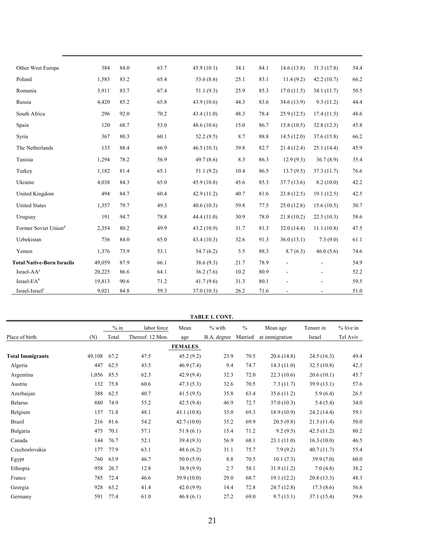| Other West Europe                 | 384    | 84.0 | 63.7 | 45.9(10.1)   | 34.1 | 84.1 | 14.6(13.8) | 31.3(17.8) | 54.4 |
|-----------------------------------|--------|------|------|--------------|------|------|------------|------------|------|
| Poland                            | 1,583  | 83.2 | 65.4 | 53.6 $(8.6)$ | 25.1 | 83.1 | 11.4(9.2)  | 42.2(10.7) | 66.2 |
| Romania                           | 3,911  | 83.7 | 67.4 | 51.1(9.3)    | 25.9 | 85.3 | 17.0(11.5) | 34.1(11.7) | 50.5 |
| Russia                            | 4,420  | 85.2 | 65.8 | 43.9(10.6)   | 44.3 | 83.6 | 34.6(13.9) | 9.3(11.2)  | 44.4 |
| South Africa                      | 296    | 92.0 | 70.2 | 43.4(11.0)   | 48.3 | 78.4 | 25.9(12.5) | 17.4(11.5) | 48.6 |
| Spain                             | 120    | 68.7 | 53.0 | 48.6(10.6)   | 15.0 | 86.7 | 15.8(10.5) | 32.8(12.3) | 45.8 |
| Syria                             | 367    | 80.3 | 60.1 | 52.2(9.5)    | 8.7  | 88.8 | 14.5(12.0) | 37.6(15.8) | 66.2 |
| The Netherlands                   | 133    | 88.4 | 66.9 | 46.5(10.3)   | 39.8 | 82.7 | 21.4(12.4) | 25.1(14.4) | 45.9 |
| Tunisia                           | 1,294  | 78.2 | 56.9 | 49.7(8.6)    | 8.3  | 86.3 | 12.9(9.3)  | 36.7(8.9)  | 35.4 |
| Turkey                            | 1,182  | 81.4 | 65.1 | 51.1(9.2)    | 10.4 | 86.5 | 13.7(9.5)  | 37.3(11.7) | 76.6 |
| Ukraine                           | 4,038  | 84.3 | 65.0 | 45.9(10.8)   | 45.6 | 85.3 | 37.7(13.6) | 8.2(10.0)  | 42.2 |
| United Kingdom                    | 494    | 84.7 | 60.4 | 42.9(11.2)   | 40.7 | 81.6 | 23.8(12.5) | 19.1(12.5) | 42.5 |
| <b>United States</b>              | 1,357  | 79.7 | 49.3 | 40.6(10.3)   | 59.8 | 77.5 | 25.0(12.8) | 15.6(10.5) | 30.7 |
| Uruguay                           | 191    | 94.7 | 78.8 | 44.4 (11.0)  | 30.9 | 78.0 | 21.8(10.2) | 22.5(10.3) | 58.6 |
| Former Soviet Union <sup>d</sup>  | 2,354  | 80.2 | 49.9 | 43.2(10.9)   | 31.7 | 81.3 | 32.0(14.4) | 11.1(10.8) | 47.5 |
| Uzbekistan                        | 736    | 84.0 | 65.0 | 43.4(10.3)   | 32.6 | 91.3 | 36.0(13.1) | 7.3(9.0)   | 61.1 |
| Yemen                             | 1,376  | 73.9 | 53.1 | 54.7(6.2)    | 5.5  | 88.3 | 8.7(6.3)   | 46.0(5.6)  | 74.6 |
| <b>Total Native-Born Israelis</b> | 49,059 | 87.9 | 66.1 | 38.6(9.3)    | 21.7 | 78.9 |            |            | 54.9 |
| Israel-AA <sup>a</sup>            | 20,225 | 86.6 | 64.1 | 36.2(7.6)    | 10.2 | 80.9 |            |            | 52.2 |
| Israel-EA <sup>b</sup>            | 19,813 | 90.6 | 71.2 | 41.7(9.6)    | 31.3 | 80.1 |            |            | 59.5 |
| Israel-Israel <sup>c</sup>        | 9,021  | 84.8 | 59.3 | 37.0(10.3)   | 26.2 | 71.6 |            |            | 51.0 |

|                         |        |        |                  |                | TABLE 1. CONT. |               |                |            |           |
|-------------------------|--------|--------|------------------|----------------|----------------|---------------|----------------|------------|-----------|
|                         |        | $%$ in | labor force      | Mean           | $%$ with       | $\frac{0}{0}$ | Mean age       | Tenure in  | % live in |
| Place of birth          | (N)    | Total  | Thereof: 12 Mon. | age            | B.A. degree    | Married       | at immigration | Israel     | Tel Aviv  |
|                         |        |        |                  | <b>FEMALES</b> |                |               |                |            |           |
| <b>Total Immigrants</b> | 49,108 | 67.2   | 47.5             | 45.2(9.2)      | 23.9           | 70.5          | 20.6(14.8)     | 24.5(16.3) | 49.4      |
| Algeria                 | 447    | 62.5   | 43.5             | 46.9(7.4)      | 9.4            | 74.7          | 14.3(11.0)     | 32.5(10.8) | 42.3      |
| Argentina               | 1,056  | 85.5   | 62.3             | 42.9(9.4)      | 32.3           | 72.0          | 22.3(10.6)     | 20.6(10.1) | 45.7      |
| Austria                 | 132    | 75.8   | 60.6             | 47.3(5.3)      | 32.6           | 70.5          | 7.3(11.7)      | 39.9(13.1) | 57.6      |
| Azerbaijan              | 388    | 62.5   | 40.7             | 41.5(9.5)      | 35.8           | 63.4          | 35.6(11.2)     | 5.9(6.4)   | 26.5      |
| <b>Belarus</b>          | 880    | 74.9   | 55.2             | 42.5(9.4)      | 46.9           | 72.7          | 37.0(10.3)     | 5.4(5.4)   | 34.0      |
| Belgium                 | 137    | 71.8   | 48.1             | 43.1(10.8)     | 35.0           | 69.3          | 18.9(10.9)     | 24.2(14.4) | 59.1      |
| Brazil                  | 216    | 81.6   | 54.2             | 42.7(10.0)     | 35.2           | 69.9          | 20.5(9.8)      | 21.5(11.4) | 50.0      |
| Bulgaria                | 475    | 70.1   | 57.1             | 51.8(6.1)      | 15.4           | 71.2          | 9.2(9.5)       | 42.5(11.2) | 80.2      |
| Canada                  | 144    | 76.7   | 52.1             | 39.4(9.3)      | 56.9           | 68.1          | 23.1(11.0)     | 16.3(10.0) | 46.5      |
| Czechoslovakia          | 177    | 77.9   | 63.1             | 48.6(6.2)      | 31.1           | 75.7          | 7.9(9.2)       | 40.7(11.7) | 55.4      |
| Egypt                   | 760    | 63.9   | 46.7             | 50.0(5.9)      | 8.8            | 70.5          | 10.1(7.3)      | 39.9(7.0)  | 60.0      |
| Ethiopia                | 958    | 26.7   | 12.8             | 38.9(9.9)      | 2.7            | 58.1          | 31.9(11.2)     | 7.0(4.8)   | 38.2      |
| France                  | 785    | 72.4   | 46.6             | 39.9(10.0)     | 29.0           | 68.7          | 19.1(12.2)     | 20.8(13.3) | 48.3      |
| Georgia                 | 928    | 63.2   | 41.4             | 42.0(9.9)      | 14.4           | 72.8          | 24.7(12.8)     | 17.3(8.6)  | 56.8      |
| Germany                 | 591    | 77.4   | 61.0             | 46.8(6.1)      | 27.2           | 69.0          | 9.7(13.1)      | 37.1(15.4) | 59.6      |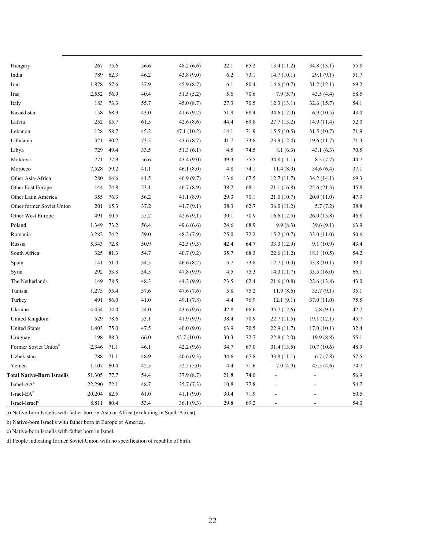| Hungary                           | 267    | 75.6 | 56.6 | 48.2(6.6)   | 22.1 | 65.2 | 13.4(11.2)  | 34.8(13.1) | 55.8 |
|-----------------------------------|--------|------|------|-------------|------|------|-------------|------------|------|
| India                             | 789    | 62.3 | 46.2 | 43.8 (9.0)  | 6.2  | 73.1 | 14.7(10.1)  | 29.1(9.1)  | 51.7 |
| Iran                              | 1,878  | 57.6 | 37.9 | 45.9(8.7)   | 6.1  | 80.4 | 14.6(10.7)  | 31.2(12.1) | 69.2 |
| Iraq                              | 2,552  | 56.9 | 40.4 | 51.5(5.2)   | 5.6  | 70.6 | 7.9(5.7)    | 43.5(4.4)  | 68.5 |
| Italy                             | 183    | 73.3 | 55.7 | 45.0(8.7)   | 27.3 | 70.5 | 12.3(13.1)  | 32.6(15.7) | 54.1 |
| Kazakhstan                        | 158    | 68.9 | 43.0 | 41.6(9.2)   | 51.9 | 68.4 | 34.6 (12.0) | 6.9(10.5)  | 43.0 |
| Latvia                            | 252    | 85.7 | 61.5 | 42.6(8.6)   | 44.4 | 69.8 | 27.7(13.2)  | 14.9(11.4) | 52.0 |
| Lebanon                           | 128    | 58.7 | 45.2 | 47.1 (10.2) | 14.1 | 71.9 | 15.5(10.5)  | 31.5(10.7) | 71.9 |
| Lithuania                         | 321    | 90.2 | 73.5 | 43.6(8.7)   | 41.7 | 73.8 | 23.9(12.4)  | 19.6(11.7) | 71.3 |
| Libya                             | 729    | 49.4 | 33.5 | 51.3(6.1)   | 4.5  | 74.5 | 8.1(6.3)    | 43.1(6.3)  | 70.5 |
| Moldova                           | 771    | 77.9 | 56.6 | 43.4(9.0)   | 39.3 | 75.5 | 34.8 (11.1) | 8.5(7.7)   | 44.7 |
| Morocco                           | 7,528  | 59.2 | 41.1 | 46.1(8.0)   | 4.8  | 74.1 | 11.4(8.0)   | 34.6 (6.4) | 37.1 |
| Other Asia-Africa                 | 280    | 64.6 | 41.5 | 46.9(9.7)   | 13.6 | 67.5 | 12.7(11.7)  | 34.2(14.1) | 69.3 |
| Other East Europe                 | 144    | 74.8 | 53.1 | 46.7(8.9)   | 38.2 | 68.1 | 21.1(16.8)  | 25.6(21.3) | 45.8 |
| Other Latin America               | 355    | 76.3 | 56.2 | 41.1(8.9)   | 29.3 | 70.1 | 21.0(10.7)  | 20.0(11.0) | 47.9 |
| Other former Soviet Union         | 201    | 65.3 | 37.2 | 41.7(9.1)   | 38.3 | 62.7 | 36.0(11.2)  | 5.7(7.2)   | 38.8 |
| Other West Europe                 | 491    | 80.5 | 55.2 | 42.6(9.1)   | 30.1 | 70.9 | 16.6(12.5)  | 26.0(15.8) | 46.8 |
| Poland                            | 1,349  | 73.2 | 56.4 | 49.6(6.6)   | 24.6 | 68.9 | 9.9(8.3)    | 39.6(9.1)  | 63.9 |
| Romania                           | 3,282  | 74.2 | 59.0 | 48.2 (7.9)  | 25.0 | 72.2 | 15.2(10.7)  | 33.0(11.0) | 50.6 |
| Russia                            | 5,343  | 72.8 | 50.9 | 42.5(9.5)   | 42.4 | 64.7 | 33.3 (12.9) | 9.1(10.9)  | 43.4 |
| South Africa                      | 325    | 81.3 | 54.7 | 40.7(9.2)   | 35.7 | 68.3 | 22.6(11.2)  | 18.1(10.5) | 54.2 |
| Spain                             | 141    | 51.0 | 34.5 | 46.6(8.2)   | 5.7  | 73.8 | 12.7(10.0)  | 33.8(10.1) | 39.0 |
| Syria                             | 292    | 53.8 | 34.5 | 47.8 (9.9)  | 4.5  | 75.3 | 14.3(11.7)  | 33.5(16.0) | 66.1 |
| The Netherlands                   | 149    | 78.5 | 48.3 | 44.2 (9.9)  | 23.5 | 62.4 | 21.6 (10.8) | 22.6(13.8) | 43.0 |
| Tunisia                           | 1,275  | 55.4 | 37.6 | 47.6(7.6)   | 5.8  | 75.2 | 11.9(8.6)   | 35.7(9.1)  | 35.1 |
| Turkey                            | 491    | 56.0 | 41.0 | 49.1 (7.8)  | 4.4  | 76.9 | 12.1(9.1)   | 37.0(11.0) | 75.5 |
| Ukraine                           | 4,454  | 74.4 | 54.0 | 43.6 (9.6)  | 42.8 | 66.6 | 35.7(12.6)  | 7.8(9.1)   | 42.7 |
| United Kingdom                    | 529    | 78.6 | 53.1 | 41.9 (9.9)  | 38.4 | 70.9 | 22.7(11.5)  | 19.1(12.1) | 45.7 |
| <b>United States</b>              | 1,403  | 75.0 | 47.5 | 40.0(9.0)   | 63.9 | 70.5 | 22.9 (11.7) | 17.0(10.1) | 32.4 |
| Uruguay                           | 198    | 88.3 | 66.0 | 42.7(10.0)  | 30.3 | 72.7 | 22.8(12.0)  | 19.9(8.8)  | 55.1 |
| Former Soviet Union <sup>d</sup>  | 2,346  | 71.1 | 46.1 | 42.2 (9.6)  | 34.7 | 67.0 | 31.4(13.5)  | 10.7(10.6) | 48.9 |
| Uzbekistan                        | 788    | 71.1 | 48.9 | 40.6(9.3)   | 34.6 | 67.8 | 33.8(11.1)  | 6.7(7.8)   | 57.5 |
| Yemen                             | 1,107  | 60.4 | 42.5 | 52.5(5.0)   | 4.4  | 71.6 | 7.0(4.9)    | 45.5(4.6)  | 74.7 |
| <b>Total Native-Born Israelis</b> | 51,305 | 77.7 | 54.4 | 37.9(8.7)   | 21.8 | 74.0 |             |            | 56.9 |
| Israel-AA <sup>a</sup>            | 22,290 | 72.1 | 48.7 | 35.7(7.3)   | 10.8 | 77.8 |             |            | 54.7 |
| Israel- $EA^b$                    | 20,204 | 82.5 | 61.0 | 41.1(9.0)   | 30.4 | 71.9 |             |            | 60.5 |
| Israel-Israel <sup>c</sup>        | 8,811  | 80.4 | 53.4 | 36.1(9.3)   | 29.8 | 69.2 |             |            | 54.0 |

a) Native-born Israelis with father born in Asia or Africa (excluding in South Africa).

b) Native-born Israelis with father born in Europe or America.

c) Native-born Israelis with father born in Israel.

d) People indicating former Soviet Union with no specification of republic of birth.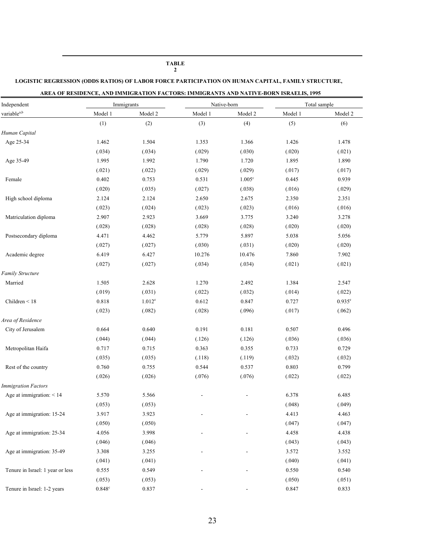#### **LOGISTIC REGRESSION (ODDS RATIOS) OF LABOR FORCE PARTICIPATION ON HUMAN CAPITAL, FAMILY STRUCTURE, AREA OF RESIDENCE, AND IMMIGRATION FACTORS: IMMIGRANTS AND NATIVE-BORN ISRAELIS, 1995**  Independent Immigrants Native-born Total sample variable<sup>a,b</sup> 1 Model 1 Model 2 Model 1 Model 2 Model 2 Model 2 Model 2 Model 2 Model 2 Model 2 (1)  $(2)$   $(3)$   $(4)$   $(5)$   $(6)$ *Human Capital*  (.040) (.041) 0.549 Age 25-34 - 1.462 0.550 1.504 0.540 1.353 1.366 1.426 1.478 (.034) (.034) (.029) (.030) (.020) (.021) Age 35-49 1.995 1.992 1.790 1.720 1.895 1.890 (.021) (.022) (.029) (.029) (.017) (.017) Female 0.402 0.753 0.531 1.005<sup>c</sup> 0.445 0.939 (.020) (.035) (.027) (.038) (.016) (.029) High school diploma 2.124 2.124 2.650 2.675 2.350 2.351 (.023) (.024) (.023) (.023) (.016) (.016) Matriculation diploma 2.907 2.923 3.669 3.775 3.240 3.278 (.028) (.028) (.028) (.028) (.020) (.020) Postsecondary diploma  $4.471$   $4.462$   $5.779$   $5.897$   $5.038$   $5.056$ (.027) (.027) (.030) (.031) (.020) (.020) Academic degree 6.419 6.427 10.276 10.476 7.860 7.902 (.027) (.027) (.034) (.034) (.021) (.021) *Family Structure*  Married 1.505 2.628 1.270 2.492 1.384 2.547 (.019) (.031) (.022) (.032) (.014) (.022) Children < 18 0.818 1.012<sup>e</sup> 0.612 0.847 0.727 0.935<sup>e</sup> (.023) (.082) (.028) (.096) (.017) (.062) *Area of Residence*  City of Jerusalem 0.664 0.640 0.191 0.181 0.507 0.496 (.044) (.044) (.126) (.126) (.036) (.036) Metropolitan Haifa 0.717 0.715 0.363 0.355 0.733 0.729 (.035) (.035) (.118) (.119) (.032) (.032) Rest of the country 0.760 0.755 0.544 0.537 0.803 0.799 (.026) (.026) (.076) (.076) (.022) (.022) *Immigration Factors*  Age at immigration: 15-24 Age at immigration: < 14 5.570 5.566 5.566 5.578 6.485  $(.053)$   $(.053)$   $(.048)$   $(.049)$ 3.917 3.923 - 4.413 4.463  $(.050)$   $(.050)$   $(.047)$   $(.047)$ Age at immigration: 25-34 4.056 3.998 - 4.458 4.438 4.438 4.438  $(.046)$   $(.046)$   $(.043)$   $(.043)$ Age at immigration: 35-49 3.308 3.255 3.52 3.552 3.552 3.552 3.552 (.041) (.041) Tenure in Israel: 1 year or less 0.555

**TABLE 2** 

 $\overline{a}$ 

-

c  $0.837$  -  $0.833$ 

(.050)

0.847

(.051)

(.053)

0.848<sup>c</sup>

Tenure in Israel: 1-2 years

(.053)

0.837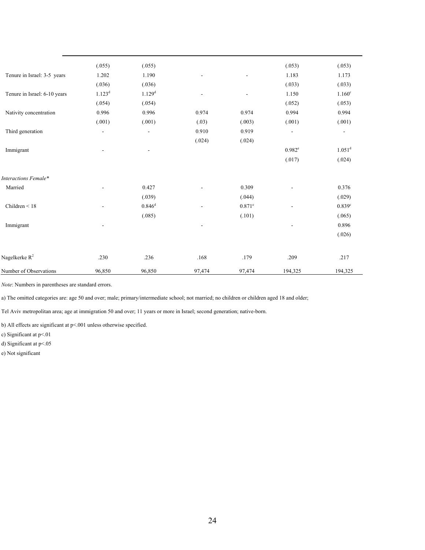|                              | (.055)                   | (.055)             |                |                | (.053)                   | (.053)                   |
|------------------------------|--------------------------|--------------------|----------------|----------------|--------------------------|--------------------------|
| Tenure in Israel: 3-5 years  | 1.202                    | 1.190              |                |                | 1.183                    | 1.173                    |
|                              | (.036)                   | (.036)             |                |                | (.033)                   | (.033)                   |
| Tenure in Israel: 6-10 years | $1.123^{d}$              | 1.129 <sup>d</sup> |                | $\blacksquare$ | 1.150                    | 1.160 <sup>c</sup>       |
|                              | (.054)                   | (.054)             |                |                | (.052)                   | (.053)                   |
| Nativity concentration       | 0.996                    | 0.996              | 0.974          | 0.974          | 0.994                    | 0.994                    |
|                              | (.001)                   | (.001)             | (.03)          | (.003)         | (.001)                   | (.001)                   |
| Third generation             | $\overline{\phantom{a}}$ | $\overline{a}$     | 0.910          | 0.919          | $\overline{\phantom{a}}$ | $\overline{\phantom{a}}$ |
|                              |                          |                    | (.024)         | (.024)         |                          |                          |
| Immigrant                    |                          |                    |                |                | $0.982^e$                | $1.051^d$                |
|                              |                          |                    |                |                | (.017)                   | (.024)                   |
| Interactions Female*         |                          |                    |                |                |                          |                          |
| Married                      |                          | 0.427              |                | 0.309          |                          | 0.376                    |
|                              |                          | (.039)             |                | (.044)         |                          | (.029)                   |
| Children $\leq 18$           |                          | $0.846^d$          |                | $0.871^e$      |                          | 0.839 <sup>c</sup>       |
|                              |                          | (.085)             |                | (.101)         |                          | (.065)                   |
| Immigrant                    |                          |                    | $\overline{a}$ |                |                          | 0.896                    |
|                              |                          |                    |                |                |                          | (.026)                   |
|                              |                          |                    |                |                |                          |                          |
| Nagelkerke R <sup>2</sup>    | .230                     | .236               | $.168\,$       | .179           | .209                     | .217                     |
| Number of Observations       | 96,850                   | 96,850             | 97,474         | 97,474         | 194,325                  | 194,325                  |

*Note*: Numbers in parentheses are standard errors.

a) The omitted categories are: age 50 and over; male; primary/intermediate school; not married; no children or children aged 18 and older;

Tel Aviv metropolitan area; age at immigration 50 and over; 11 years or more in Israel; second generation; native-born.

b) All effects are significant at p<.001 unless otherwise specified.

c) Significant at p<.01

d) Significant at p<.05

e) Not significant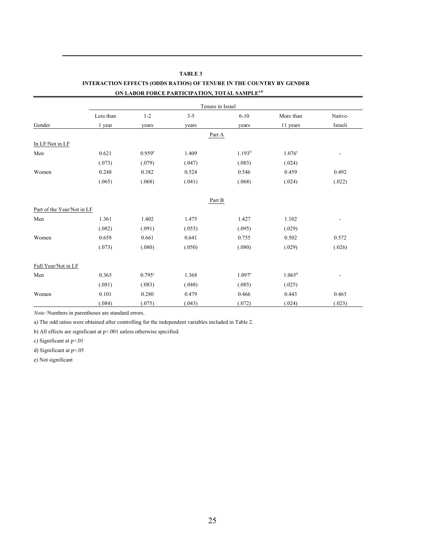|                            |           |                      | ON LABOR FORCE PARTICIPATION, TOTAL SAMPLE" |                      |                    |         |  |  |
|----------------------------|-----------|----------------------|---------------------------------------------|----------------------|--------------------|---------|--|--|
|                            |           | Tenure in Israel     |                                             |                      |                    |         |  |  |
|                            | Less than | $1 - 2$              | $3 - 5$                                     | $6 - 10$             | More than          | Native- |  |  |
| Gender                     | 1 year    | years                | years                                       | years                | 11 years           | Israeli |  |  |
|                            |           |                      | Part A                                      |                      |                    |         |  |  |
| In LF/Not in LF            |           |                      |                                             |                      |                    |         |  |  |
| Men                        | 0.621     | $0.959$ <sup>e</sup> | 1.409                                       | 1.193 <sup>d</sup>   | 1.076c             |         |  |  |
|                            | (.073)    | (.079)               | (.047)                                      | (.083)               | (.024)             |         |  |  |
| Women                      | 0.248     | 0.382                | 0.524                                       | 0.546                | 0.459              | 0.492   |  |  |
|                            | (.065)    | (.068)               | (.041)                                      | (.068)               | (.024)             | (.022)  |  |  |
|                            |           |                      | Part B                                      |                      |                    |         |  |  |
| Part of the Year/Not in LF |           |                      |                                             |                      |                    |         |  |  |
| Men                        | 1.361     | 1.402                | 1.475                                       | 1.427                | $1.102\,$          |         |  |  |
|                            | (.082)    | (.091)               | (.055)                                      | (.095)               | (.029)             |         |  |  |
| Women                      | 0.658     | 0.661                | 0.641                                       | 0.755                | 0.502              | 0.572   |  |  |
|                            | (.073)    | (.080)               | (.050)                                      | (.080)               | (.029)             | (.026)  |  |  |
| Full Year/Not in LF        |           |                      |                                             |                      |                    |         |  |  |
| Men                        | 0.365     | $0.795$ <sup>c</sup> | 1.368                                       | $1.097$ <sup>e</sup> | 1.065 <sup>d</sup> |         |  |  |
|                            | (.081)    | (.083)               | (.048)                                      | (.085)               | (.025)             |         |  |  |
| Women                      | 0.101     | 0.280                | 0.479                                       | 0.466                | 0.443              | 0.463   |  |  |
|                            | (.084)    | (.075)               | (.043)                                      | (.072)               | (.024)             | (.023)  |  |  |

#### **TABLE 3 INTERACTION EFFECTS (ODDS RATIOS) OF TENURE IN THE COUNTRY BY GENDER**  *ON LABOR FORCE PARTICIPATION, TOTAL SAMPLE<sup>a,b</sup>*

*Note*: Numbers in parentheses are standard errors.

a) The odd ratios were obtained after controlling for the independent variables included in Table 2.

b) All effects are significant at p<.001 unless otherwise specified.

c) Significant at p<.01

 $\overline{a}$ 

d) Significant at p<.05

e) Not significant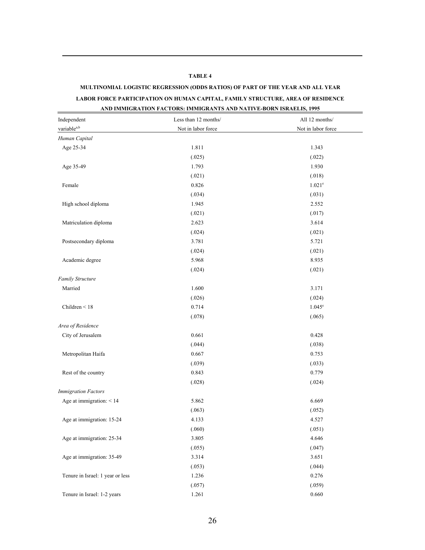#### **TABLE 4**

 $\overline{a}$ 

#### **MULTINOMIAL LOGISTIC REGRESSION (ODDS RATIOS) OF PART OF THE YEAR AND ALL YEAR**

#### **LABOR FORCE PARTICIPATION ON HUMAN CAPITAL, FAMILY STRUCTURE, AREA OF RESIDENCE**

#### **AND IMMIGRATION FACTORS: IMMIGRANTS AND NATIVE-BORN ISRAELIS, 1995**

| Independent                      | Less than 12 months/ | All 12 months/       |  |  |
|----------------------------------|----------------------|----------------------|--|--|
| variablea,b                      | Not in labor force   | Not in labor force   |  |  |
| Human Capital                    |                      |                      |  |  |
| Age 25-34                        | 1.811                | 1.343                |  |  |
|                                  | (.025)               | (.022)               |  |  |
| Age 35-49                        | 1.793                | 1.930                |  |  |
|                                  | (.021)               | (.018)               |  |  |
| Female                           | 0.826                | $1.021$ <sup>e</sup> |  |  |
|                                  | (.034)               | (.031)               |  |  |
| High school diploma              | 1.945                | 2.552                |  |  |
|                                  | (.021)               | (.017)               |  |  |
| Matriculation diploma            | 2.623                | 3.614                |  |  |
|                                  | (.024)               | (.021)               |  |  |
| Postsecondary diploma            | 3.781                | 5.721                |  |  |
|                                  | (.024)               | (.021)               |  |  |
| Academic degree                  | 5.968                | 8.935                |  |  |
|                                  | (.024)               | (.021)               |  |  |
| Family Structure                 |                      |                      |  |  |
| Married                          | 1.600                | 3.171                |  |  |
|                                  | (.026)               | (.024)               |  |  |
| Children $\leq 18$               | 0.714                | $1.045^e$            |  |  |
|                                  | (.078)               | (.065)               |  |  |
| Area of Residence                |                      |                      |  |  |
| City of Jerusalem                | 0.661                | 0.428                |  |  |
|                                  | (.044)               | (.038)               |  |  |
| Metropolitan Haifa               | 0.667                | 0.753                |  |  |
|                                  | (.039)               | (.033)               |  |  |
| Rest of the country              | 0.843                | 0.779                |  |  |
|                                  | (.028)               | (.024)               |  |  |
| <b>Immigration Factors</b>       |                      |                      |  |  |
| Age at immigration: $<$ 14       | 5.862                | 6.669                |  |  |
|                                  | (.063)               | (.052)               |  |  |
| Age at immigration: 15-24        | 4.133                | 4.527                |  |  |
|                                  | (.060)               | (.051)               |  |  |
| Age at immigration: 25-34        | 3.805                | 4.646                |  |  |
|                                  | (.055)               | (.047)               |  |  |
| Age at immigration: 35-49        | 3.314                | 3.651                |  |  |
|                                  | (.053)               | (.044)               |  |  |
| Tenure in Israel: 1 year or less | 1.236                | 0.276                |  |  |
|                                  | (.057)               | (.059)               |  |  |
| Tenure in Israel: 1-2 years      | 1.261                | 0.660                |  |  |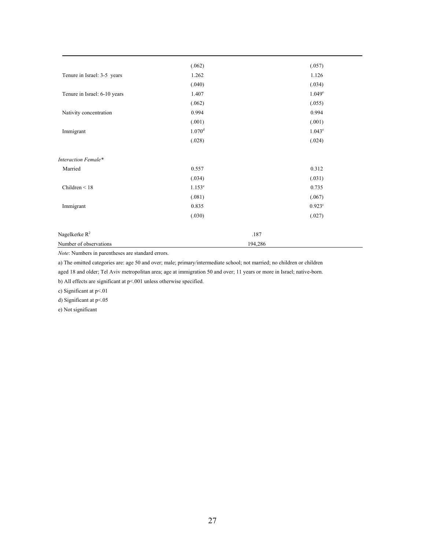|                              | (.062)               | (.057)             |
|------------------------------|----------------------|--------------------|
| Tenure in Israel: 3-5 years  | 1.262                | 1.126              |
|                              | (.040)               | (.034)             |
| Tenure in Israel: 6-10 years | 1.407                | 1.049 <sup>e</sup> |
|                              | (.062)               | (.055)             |
| Nativity concentration       | 0.994                | 0.994              |
|                              | (.001)               | (.001)             |
| Immigrant                    | $1.070^d$            | $1.043^e$          |
|                              | (.028)               | (.024)             |
| Interaction Female*          |                      |                    |
| Married                      | 0.557                | 0.312              |
|                              | (.034)               | (.031)             |
| Children $\leq 18$           | $1.153$ <sup>e</sup> | 0.735              |
|                              | (.081)               | (.067)             |
| Immigrant                    | 0.835                | $0.923^{\circ}$    |
|                              | (.030)               | (.027)             |
| Nagelkerke R <sup>2</sup>    | .187                 |                    |
| Number of observations       | 194,286              |                    |

*Note*: Numbers in parentheses are standard errors.

a) The omitted categories are: age 50 and over; male; primary/intermediate school; not married; no children or children aged 18 and older; Tel Aviv metropolitan area; age at immigration 50 and over; 11 years or more in Israel; native-born.

b) All effects are significant at p<.001 unless otherwise specified.

c) Significant at p<.01

d) Significant at p<.05

e) Not significant